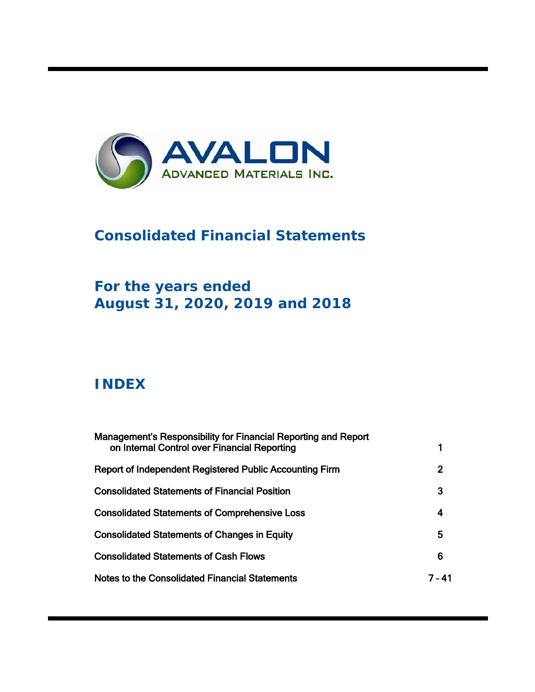

# **Consolidated Financial Statements**

# **For the years ended August 31, 2020, 2019 and 2018**

# **INDEX**

ı

| Management's Responsibility for Financial Reporting and Report<br>on Internal Control over Financial Reporting |        |
|----------------------------------------------------------------------------------------------------------------|--------|
| Report of Independent Registered Public Accounting Firm                                                        | 2      |
| <b>Consolidated Statements of Financial Position</b>                                                           | 3      |
| <b>Consolidated Statements of Comprehensive Loss</b>                                                           | 4      |
| <b>Consolidated Statements of Changes in Equity</b>                                                            | 5      |
| <b>Consolidated Statements of Cash Flows</b>                                                                   | 6      |
| Notes to the Consolidated Financial Statements                                                                 | 7 - 41 |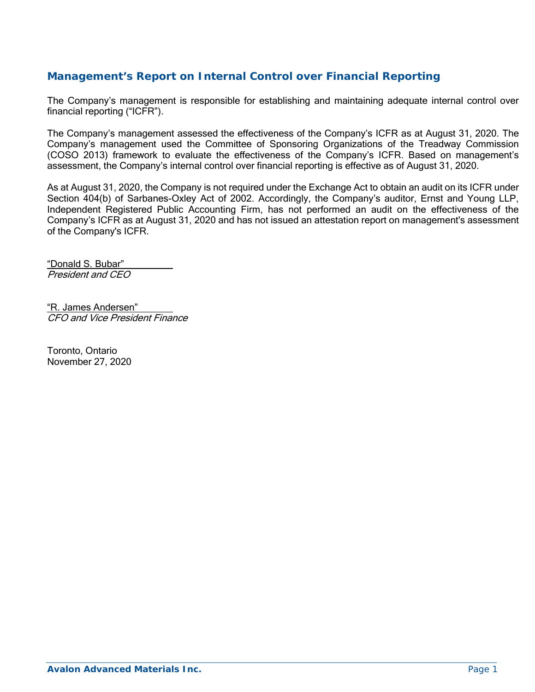# **Management's Report on Internal Control over Financial Reporting**

The Company's management is responsible for establishing and maintaining adequate internal control over financial reporting ("ICFR").

The Company's management assessed the effectiveness of the Company's ICFR as at August 31, 2020. The Company's management used the Committee of Sponsoring Organizations of the Treadway Commission (COSO 2013) framework to evaluate the effectiveness of the Company's ICFR. Based on management's assessment, the Company's internal control over financial reporting is effective as of August 31, 2020.

As at August 31, 2020, the Company is not required under the Exchange Act to obtain an audit on its ICFR under Section 404(b) of Sarbanes-Oxley Act of 2002. Accordingly, the Company's auditor, Ernst and Young LLP, Independent Registered Public Accounting Firm, has not performed an audit on the effectiveness of the Company's ICFR as at August 31, 2020 and has not issued an attestation report on management's assessment of the Company's ICFR.

"Donald S. Bubar" President and CEO

"R. James Andersen" CFO and Vice President Finance

Toronto, Ontario November 27, 2020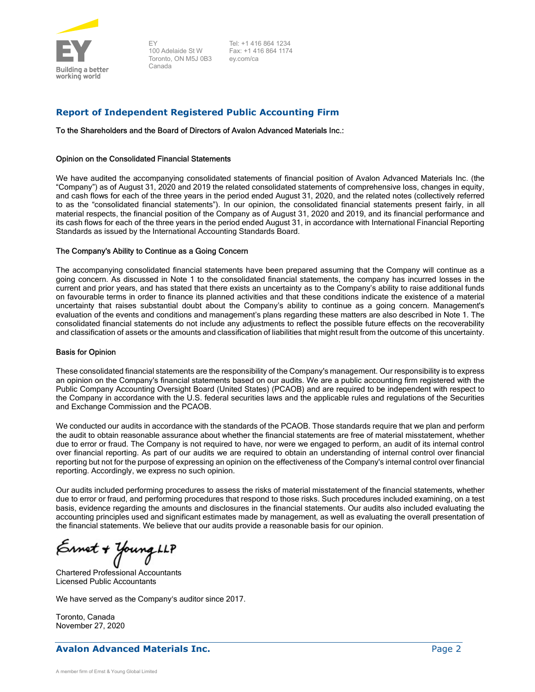

EY 100 Adelaide St W Toronto, ON M5J 0B3 Canada

 Tel: +1 416 864 1234 Fax: +1 416 864 1174 ey.com/ca

# Report of Independent Registered Public Accounting Firm

#### To the Shareholders and the Board of Directors of Avalon Advanced Materials Inc.:

#### Opinion on the Consolidated Financial Statements

We have audited the accompanying consolidated statements of financial position of Avalon Advanced Materials Inc. (the "Company") as of August 31, 2020 and 2019 the related consolidated statements of comprehensive loss, changes in equity, and cash flows for each of the three years in the period ended August 31, 2020, and the related notes (collectively referred to as the "consolidated financial statements"). In our opinion, the consolidated financial statements present fairly, in all material respects, the financial position of the Company as of August 31, 2020 and 2019, and its financial performance and its cash flows for each of the three years in the period ended August 31, in accordance with International Financial Reporting Standards as issued by the International Accounting Standards Board.

#### The Company's Ability to Continue as a Going Concern

The accompanying consolidated financial statements have been prepared assuming that the Company will continue as a going concern. As discussed in Note 1 to the consolidated financial statements, the company has incurred losses in the current and prior years, and has stated that there exists an uncertainty as to the Company's ability to raise additional funds on favourable terms in order to finance its planned activities and that these conditions indicate the existence of a material uncertainty that raises substantial doubt about the Company's ability to continue as a going concern. Management's evaluation of the events and conditions and management's plans regarding these matters are also described in Note 1. The consolidated financial statements do not include any adjustments to reflect the possible future effects on the recoverability and classification of assets or the amounts and classification of liabilities that might result from the outcome of this uncertainty.

#### Basis for Opinion

These consolidated financial statements are the responsibility of the Company's management. Our responsibility is to express an opinion on the Company's financial statements based on our audits. We are a public accounting firm registered with the Public Company Accounting Oversight Board (United States) (PCAOB) and are required to be independent with respect to the Company in accordance with the U.S. federal securities laws and the applicable rules and regulations of the Securities and Exchange Commission and the PCAOB.

We conducted our audits in accordance with the standards of the PCAOB. Those standards require that we plan and perform the audit to obtain reasonable assurance about whether the financial statements are free of material misstatement, whether due to error or fraud. The Company is not required to have, nor were we engaged to perform, an audit of its internal control over financial reporting. As part of our audits we are required to obtain an understanding of internal control over financial reporting but not for the purpose of expressing an opinion on the effectiveness of the Company's internal control over financial reporting. Accordingly, we express no such opinion.

Our audits included performing procedures to assess the risks of material misstatement of the financial statements, whether due to error or fraud, and performing procedures that respond to those risks. Such procedures included examining, on a test basis, evidence regarding the amounts and disclosures in the financial statements. Our audits also included evaluating the accounting principles used and significant estimates made by management, as well as evaluating the overall presentation of the financial statements. We believe that our audits provide a reasonable basis for our opinion.

Chartered Professional Accountants Licensed Public Accountants

We have served as the Company's auditor since 2017.

Toronto, Canada November 27, 2020

#### **Avalon Advanced Materials Inc.** Page 2 and 2 and 2 and 2 and 2 and 2 and 2 and 2 and 2 and 2 and 2 and 2 and 2 and 2 and 2 and 2 and 2 and 2 and 2 and 2 and 2 and 2 and 2 and 2 and 2 and 2 and 2 and 2 and 2 and 2 and 2 an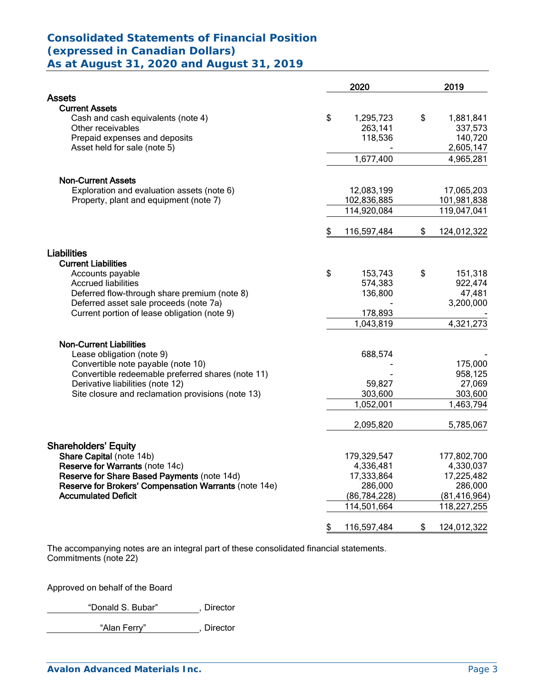# **Consolidated Statements of Financial Position (expressed in Canadian Dollars) As at August 31, 2020 and August 31, 2019**

|                                                       | 2020              | 2019              |
|-------------------------------------------------------|-------------------|-------------------|
| <b>Assets</b>                                         |                   |                   |
| <b>Current Assets</b>                                 |                   |                   |
| Cash and cash equivalents (note 4)                    | \$<br>1,295,723   | \$<br>1,881,841   |
| Other receivables                                     | 263,141           | 337,573           |
| Prepaid expenses and deposits                         | 118,536           | 140,720           |
| Asset held for sale (note 5)                          |                   | 2,605,147         |
|                                                       | 1,677,400         | 4,965,281         |
| <b>Non-Current Assets</b>                             |                   |                   |
| Exploration and evaluation assets (note 6)            | 12,083,199        | 17,065,203        |
| Property, plant and equipment (note 7)                | 102,836,885       | 101,981,838       |
|                                                       | 114,920,084       | 119,047,041       |
|                                                       | \$<br>116,597,484 | \$<br>124,012,322 |
| <b>Liabilities</b>                                    |                   |                   |
| <b>Current Liabilities</b>                            |                   |                   |
| Accounts payable                                      | \$<br>153,743     | \$<br>151,318     |
| <b>Accrued liabilities</b>                            | 574,383           | 922,474           |
| Deferred flow-through share premium (note 8)          | 136,800           | 47,481            |
| Deferred asset sale proceeds (note 7a)                |                   | 3,200,000         |
| Current portion of lease obligation (note 9)          | 178,893           |                   |
|                                                       | 1,043,819         | 4,321,273         |
| <b>Non-Current Liabilities</b>                        |                   |                   |
| Lease obligation (note 9)                             | 688,574           |                   |
| Convertible note payable (note 10)                    |                   | 175,000           |
| Convertible redeemable preferred shares (note 11)     |                   | 958,125           |
| Derivative liabilities (note 12)                      | 59,827            | 27,069            |
| Site closure and reclamation provisions (note 13)     | 303,600           | 303,600           |
|                                                       | 1,052,001         | 1,463,794         |
|                                                       | 2,095,820         | 5,785,067         |
| <b>Shareholders' Equity</b>                           |                   |                   |
| Share Capital (note 14b)                              | 179,329,547       | 177,802,700       |
| Reserve for Warrants (note 14c)                       | 4,336,481         | 4,330,037         |
| Reserve for Share Based Payments (note 14d)           | 17,333,864        | 17,225,482        |
| Reserve for Brokers' Compensation Warrants (note 14e) | 286,000           | 286,000           |
| <b>Accumulated Deficit</b>                            | (86, 784, 228)    | (81, 416, 964)    |
|                                                       | 114,501,664       | 118,227,255       |
|                                                       | \$<br>116,597,484 | \$<br>124,012,322 |

The accompanying notes are an integral part of these consolidated financial statements. Commitments (note 22)

Approved on behalf of the Board

"Donald S. Bubar" , Director

"Alan Ferry" , Director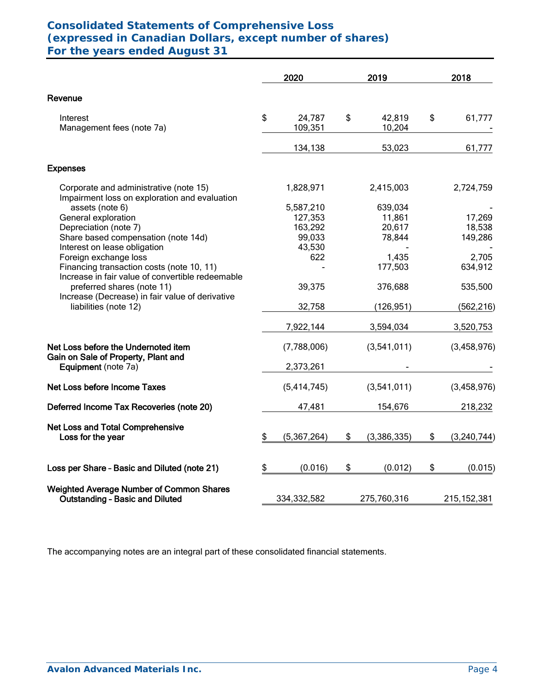# **Consolidated Statements of Comprehensive Loss (expressed in Canadian Dollars, except number of shares) For the years ended August 31**

|                                                                                                                                                        |    | 2020                                      | 2019 | 2018                                  |                             |
|--------------------------------------------------------------------------------------------------------------------------------------------------------|----|-------------------------------------------|------|---------------------------------------|-----------------------------|
| Revenue                                                                                                                                                |    |                                           |      |                                       |                             |
| Interest<br>Management fees (note 7a)                                                                                                                  | \$ | 24,787<br>109,351                         | \$   | 42,819<br>10,204                      | \$<br>61,777                |
|                                                                                                                                                        |    | 134,138                                   |      | 53,023                                | 61,777                      |
| <b>Expenses</b>                                                                                                                                        |    |                                           |      |                                       |                             |
| Corporate and administrative (note 15)<br>Impairment loss on exploration and evaluation                                                                |    | 1,828,971                                 |      | 2,415,003                             | 2,724,759                   |
| assets (note 6)<br>General exploration<br>Depreciation (note 7)<br>Share based compensation (note 14d)                                                 |    | 5,587,210<br>127,353<br>163,292<br>99,033 |      | 639,034<br>11,861<br>20,617<br>78,844 | 17,269<br>18,538<br>149,286 |
| Interest on lease obligation<br>Foreign exchange loss<br>Financing transaction costs (note 10, 11)<br>Increase in fair value of convertible redeemable |    | 43,530<br>622<br>39,375                   |      | 1,435<br>177,503<br>376,688           | 2,705<br>634,912<br>535,500 |
| preferred shares (note 11)<br>Increase (Decrease) in fair value of derivative<br>liabilities (note 12)                                                 |    | 32,758                                    |      | (126, 951)                            | (562, 216)                  |
|                                                                                                                                                        |    | 7,922,144                                 |      | 3,594,034                             | 3,520,753                   |
| Net Loss before the Undernoted item<br>Gain on Sale of Property, Plant and                                                                             |    | (7,788,006)                               |      | (3,541,011)                           | (3,458,976)                 |
| Equipment (note 7a)                                                                                                                                    |    | 2,373,261                                 |      |                                       |                             |
| Net Loss before Income Taxes                                                                                                                           |    | (5,414,745)                               |      | (3,541,011)                           | (3,458,976)                 |
| Deferred Income Tax Recoveries (note 20)                                                                                                               |    | 47,481                                    |      | 154,676                               | 218,232                     |
| <b>Net Loss and Total Comprehensive</b><br>Loss for the year                                                                                           | \$ | (5, 367, 264)                             | \$   | (3,386,335)                           | \$<br>(3, 240, 744)         |
| Loss per Share - Basic and Diluted (note 21)                                                                                                           | \$ | (0.016)                                   | \$   | (0.012)                               | \$<br>(0.015)               |
| <b>Weighted Average Number of Common Shares</b><br><b>Outstanding - Basic and Diluted</b>                                                              |    | 334,332,582                               |      | 275,760,316                           | 215, 152, 381               |

The accompanying notes are an integral part of these consolidated financial statements.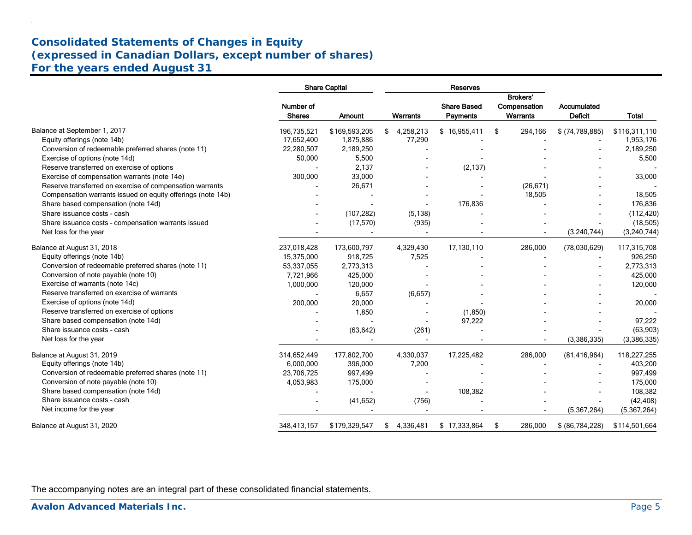# **Consolidated Statements of Changes in Equity (expressed in Canadian Dollars, except number of shares) For the years ended August 31**

|                                                             |                            | <b>Share Capital</b> | <b>Reserves</b> |                                       |                                                    |                               |               |
|-------------------------------------------------------------|----------------------------|----------------------|-----------------|---------------------------------------|----------------------------------------------------|-------------------------------|---------------|
|                                                             | Number of<br><b>Shares</b> | Amount               | <b>Warrants</b> | <b>Share Based</b><br><b>Payments</b> | <b>Brokers'</b><br>Compensation<br><b>Warrants</b> | Accumulated<br><b>Deficit</b> | <b>Total</b>  |
| Balance at September 1, 2017                                | 196,735,521                | \$169,593,205        | 4,258,213<br>\$ | \$16,955,411                          | \$<br>294,166                                      | $$$ (74,789,885)              | \$116,311,110 |
| Equity offerings (note 14b)                                 | 17,652,400                 | 1,875,886            | 77,290          |                                       |                                                    |                               | 1,953,176     |
| Conversion of redeemable preferred shares (note 11)         | 22,280,507                 | 2,189,250            |                 |                                       |                                                    |                               | 2,189,250     |
| Exercise of options (note 14d)                              | 50,000                     | 5,500                |                 |                                       |                                                    |                               | 5,500         |
| Reserve transferred on exercise of options                  |                            | 2,137                |                 | (2, 137)                              |                                                    |                               |               |
| Exercise of compensation warrants (note 14e)                | 300,000                    | 33,000               |                 |                                       |                                                    |                               | 33,000        |
| Reserve transferred on exercise of compensation warrants    |                            | 26,671               |                 |                                       | (26, 671)                                          |                               |               |
| Compensation warrants issued on equity offerings (note 14b) |                            |                      |                 |                                       | 18,505                                             |                               | 18,505        |
| Share based compensation (note 14d)                         |                            |                      |                 | 176,836                               |                                                    |                               | 176,836       |
| Share issuance costs - cash                                 |                            | (107, 282)           | (5, 138)        |                                       |                                                    |                               | (112, 420)    |
| Share issuance costs - compensation warrants issued         |                            | (17, 570)            | (935)           |                                       |                                                    |                               | (18, 505)     |
| Net loss for the year                                       |                            |                      |                 |                                       |                                                    | (3, 240, 744)                 | (3, 240, 744) |
| Balance at August 31, 2018                                  | 237,018,428                | 173,600,797          | 4,329,430       | 17,130,110                            | 286,000                                            | (78,030,629)                  | 117,315,708   |
| Equity offerings (note 14b)                                 | 15,375,000                 | 918,725              | 7,525           |                                       |                                                    |                               | 926,250       |
| Conversion of redeemable preferred shares (note 11)         | 53,337,055                 | 2,773,313            |                 |                                       |                                                    |                               | 2,773,313     |
| Conversion of note payable (note 10)                        | 7,721,966                  | 425,000              |                 |                                       |                                                    |                               | 425,000       |
| Exercise of warrants (note 14c)                             | 1,000,000                  | 120,000              |                 |                                       |                                                    |                               | 120,000       |
| Reserve transferred on exercise of warrants                 |                            | 6,657                | (6,657)         |                                       |                                                    |                               |               |
| Exercise of options (note 14d)                              | 200,000                    | 20,000               |                 |                                       |                                                    |                               | 20,000        |
| Reserve transferred on exercise of options                  |                            | 1,850                |                 | (1, 850)                              |                                                    |                               |               |
| Share based compensation (note 14d)                         |                            |                      |                 | 97,222                                |                                                    |                               | 97,222        |
| Share issuance costs - cash                                 |                            | (63, 642)            | (261)           |                                       |                                                    |                               | (63,903)      |
| Net loss for the year                                       |                            |                      |                 |                                       |                                                    | (3,386,335)                   | (3,386,335)   |
| Balance at August 31, 2019                                  | 314,652,449                | 177,802,700          | 4,330,037       | 17,225,482                            | 286,000                                            | (81, 416, 964)                | 118,227,255   |
| Equity offerings (note 14b)                                 | 6,000,000                  | 396,000              | 7,200           |                                       |                                                    |                               | 403,200       |
| Conversion of redeemable preferred shares (note 11)         | 23,706,725                 | 997,499              |                 |                                       |                                                    |                               | 997,499       |
| Conversion of note payable (note 10)                        | 4,053,983                  | 175,000              |                 |                                       |                                                    |                               | 175,000       |
| Share based compensation (note 14d)                         |                            |                      |                 | 108,382                               |                                                    |                               | 108,382       |
| Share issuance costs - cash                                 |                            | (41, 652)            | (756)           |                                       |                                                    |                               | (42, 408)     |
| Net income for the year                                     |                            |                      |                 |                                       |                                                    | (5,367,264)                   | (5,367,264)   |
| Balance at August 31, 2020                                  | 348,413,157                | \$179,329,547        | \$4,336,481     | \$17,333,864                          | \$<br>286,000                                      | \$ (86,784,228)               | \$114,501,664 |

The accompanying notes are an integral part of these consolidated financial statements.

.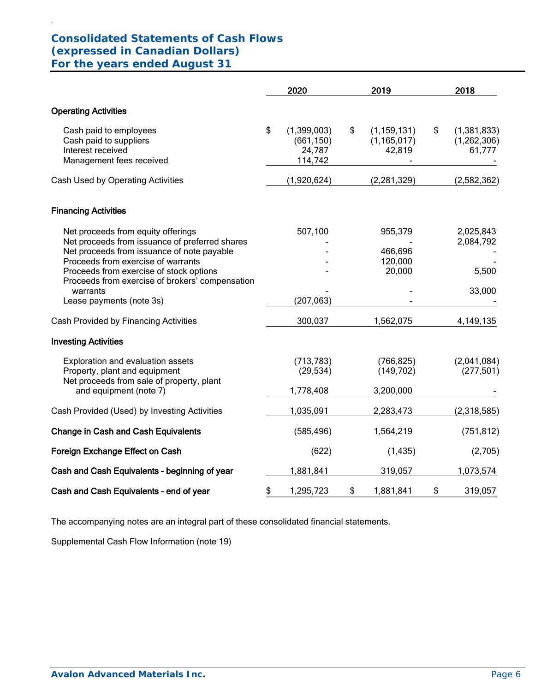# **Consolidated Statements of Cash Flows (expressed in Canadian Dollars) For the years ended August 31**

.

|                                                                                                                                                                                                                                                                        |    | 2020<br>2019                                   |    |                                          | 2018 |                                        |  |
|------------------------------------------------------------------------------------------------------------------------------------------------------------------------------------------------------------------------------------------------------------------------|----|------------------------------------------------|----|------------------------------------------|------|----------------------------------------|--|
| <b>Operating Activities</b>                                                                                                                                                                                                                                            |    |                                                |    |                                          |      |                                        |  |
| Cash paid to employees<br>Cash paid to suppliers<br>Interest received<br>Management fees received                                                                                                                                                                      | \$ | (1,399,003)<br>(661, 150)<br>24,787<br>114,742 | \$ | (1, 159, 131)<br>(1, 165, 017)<br>42,819 | \$   | (1, 381, 833)<br>(1,262,306)<br>61,777 |  |
| Cash Used by Operating Activities                                                                                                                                                                                                                                      |    | (1,920,624)                                    |    | (2, 281, 329)                            |      | (2,582,362)                            |  |
| <b>Financing Activities</b>                                                                                                                                                                                                                                            |    |                                                |    |                                          |      |                                        |  |
| Net proceeds from equity offerings<br>Net proceeds from issuance of preferred shares<br>Net proceeds from issuance of note payable<br>Proceeds from exercise of warrants<br>Proceeds from exercise of stock options<br>Proceeds from exercise of brokers' compensation |    | 507,100                                        |    | 955,379<br>466,696<br>120,000<br>20,000  |      |                                        |  |
| warrants<br>Lease payments (note 3s)                                                                                                                                                                                                                                   |    | (207,063)                                      |    |                                          |      | 33,000                                 |  |
| Cash Provided by Financing Activities                                                                                                                                                                                                                                  |    | 300,037                                        |    | 1,562,075                                |      | 4,149,135                              |  |
| <b>Investing Activities</b>                                                                                                                                                                                                                                            |    |                                                |    |                                          |      |                                        |  |
| Exploration and evaluation assets<br>Property, plant and equipment<br>Net proceeds from sale of property, plant                                                                                                                                                        |    | (713, 783)<br>(29, 534)                        |    | (766, 825)<br>(149, 702)                 |      | (2,041,084)<br>(277, 501)              |  |
| and equipment (note 7)                                                                                                                                                                                                                                                 |    | 1,778,408                                      |    | 3,200,000                                |      |                                        |  |
| Cash Provided (Used) by Investing Activities                                                                                                                                                                                                                           |    | 1,035,091                                      |    | 2,283,473                                |      | (2,318,585)                            |  |
| <b>Change in Cash and Cash Equivalents</b>                                                                                                                                                                                                                             |    | (585, 496)                                     |    | 1,564,219                                |      | (751, 812)                             |  |
| Foreign Exchange Effect on Cash                                                                                                                                                                                                                                        |    | (622)                                          |    | (1, 435)                                 |      | (2,705)                                |  |
| Cash and Cash Equivalents - beginning of year                                                                                                                                                                                                                          |    | 1,881,841                                      |    | 319,057                                  |      | 1,073,574                              |  |
| Cash and Cash Equivalents - end of year                                                                                                                                                                                                                                | \$ | 1,295,723                                      | \$ | 1,881,841                                | \$   | 319,057                                |  |

The accompanying notes are an integral part of these consolidated financial statements.

Supplemental Cash Flow Information (note 19)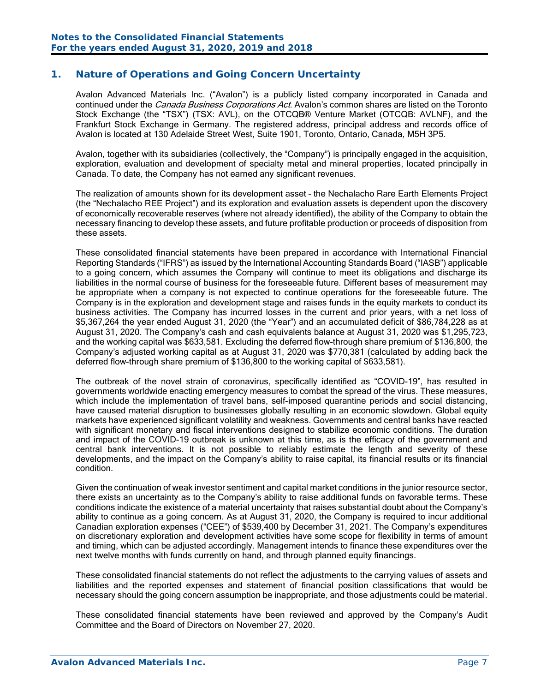# **1. Nature of Operations and Going Concern Uncertainty**

Avalon Advanced Materials Inc. ("Avalon") is a publicly listed company incorporated in Canada and continued under the *Canada Business Corporations Act*. Avalon's common shares are listed on the Toronto Stock Exchange (the "TSX") (TSX: AVL), on the OTCQB® Venture Market (OTCQB: AVLNF), and the Frankfurt Stock Exchange in Germany. The registered address, principal address and records office of Avalon is located at 130 Adelaide Street West, Suite 1901, Toronto, Ontario, Canada, M5H 3P5.

Avalon, together with its subsidiaries (collectively, the "Company") is principally engaged in the acquisition, exploration, evaluation and development of specialty metal and mineral properties, located principally in Canada. To date, the Company has not earned any significant revenues.

The realization of amounts shown for its development asset – the Nechalacho Rare Earth Elements Project (the "Nechalacho REE Project") and its exploration and evaluation assets is dependent upon the discovery of economically recoverable reserves (where not already identified), the ability of the Company to obtain the necessary financing to develop these assets, and future profitable production or proceeds of disposition from these assets.

These consolidated financial statements have been prepared in accordance with International Financial Reporting Standards ("IFRS") as issued by the International Accounting Standards Board ("IASB") applicable to a going concern, which assumes the Company will continue to meet its obligations and discharge its liabilities in the normal course of business for the foreseeable future. Different bases of measurement may be appropriate when a company is not expected to continue operations for the foreseeable future. The Company is in the exploration and development stage and raises funds in the equity markets to conduct its business activities. The Company has incurred losses in the current and prior years, with a net loss of \$5,367,264 the year ended August 31, 2020 (the "Year") and an accumulated deficit of \$86,784,228 as at August 31, 2020. The Company's cash and cash equivalents balance at August 31, 2020 was \$1,295,723, and the working capital was \$633,581. Excluding the deferred flow-through share premium of \$136,800, the Company's adjusted working capital as at August 31, 2020 was \$770,381 (calculated by adding back the deferred flow-through share premium of \$136,800 to the working capital of \$633,581).

The outbreak of the novel strain of coronavirus, specifically identified as "COVID-19", has resulted in governments worldwide enacting emergency measures to combat the spread of the virus. These measures, which include the implementation of travel bans, self-imposed quarantine periods and social distancing, have caused material disruption to businesses globally resulting in an economic slowdown. Global equity markets have experienced significant volatility and weakness. Governments and central banks have reacted with significant monetary and fiscal interventions designed to stabilize economic conditions. The duration and impact of the COVID-19 outbreak is unknown at this time, as is the efficacy of the government and central bank interventions. It is not possible to reliably estimate the length and severity of these developments, and the impact on the Company's ability to raise capital, its financial results or its financial condition.

Given the continuation of weak investor sentiment and capital market conditions in the junior resource sector, there exists an uncertainty as to the Company's ability to raise additional funds on favorable terms. These conditions indicate the existence of a material uncertainty that raises substantial doubt about the Company's ability to continue as a going concern. As at August 31, 2020, the Company is required to incur additional Canadian exploration expenses ("CEE") of \$539,400 by December 31, 2021. The Company's expenditures on discretionary exploration and development activities have some scope for flexibility in terms of amount and timing, which can be adjusted accordingly. Management intends to finance these expenditures over the next twelve months with funds currently on hand, and through planned equity financings.

These consolidated financial statements do not reflect the adjustments to the carrying values of assets and liabilities and the reported expenses and statement of financial position classifications that would be necessary should the going concern assumption be inappropriate, and those adjustments could be material.

These consolidated financial statements have been reviewed and approved by the Company's Audit Committee and the Board of Directors on November 27, 2020.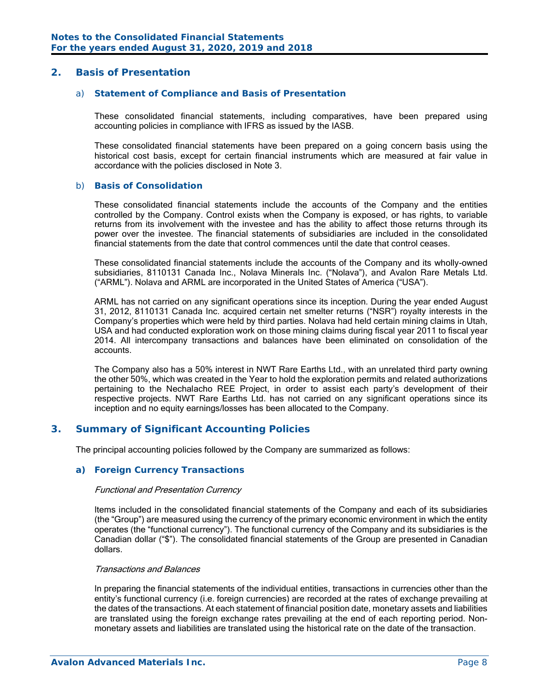## **2. Basis of Presentation**

#### a) *Statement of Compliance and Basis of Presentation*

These consolidated financial statements, including comparatives, have been prepared using accounting policies in compliance with IFRS as issued by the IASB.

These consolidated financial statements have been prepared on a going concern basis using the historical cost basis, except for certain financial instruments which are measured at fair value in accordance with the policies disclosed in Note 3.

#### b) *Basis of Consolidation*

These consolidated financial statements include the accounts of the Company and the entities controlled by the Company. Control exists when the Company is exposed, or has rights, to variable returns from its involvement with the investee and has the ability to affect those returns through its power over the investee. The financial statements of subsidiaries are included in the consolidated financial statements from the date that control commences until the date that control ceases.

These consolidated financial statements include the accounts of the Company and its wholly-owned subsidiaries, 8110131 Canada Inc., Nolava Minerals Inc. ("Nolava"), and Avalon Rare Metals Ltd. ("ARML"). Nolava and ARML are incorporated in the United States of America ("USA").

ARML has not carried on any significant operations since its inception. During the year ended August 31, 2012, 8110131 Canada Inc. acquired certain net smelter returns ("NSR") royalty interests in the Company's properties which were held by third parties. Nolava had held certain mining claims in Utah, USA and had conducted exploration work on those mining claims during fiscal year 2011 to fiscal year 2014. All intercompany transactions and balances have been eliminated on consolidation of the accounts.

The Company also has a 50% interest in NWT Rare Earths Ltd., with an unrelated third party owning the other 50%, which was created in the Year to hold the exploration permits and related authorizations pertaining to the Nechalacho REE Project, in order to assist each party's development of their respective projects. NWT Rare Earths Ltd. has not carried on any significant operations since its inception and no equity earnings/losses has been allocated to the Company.

## **3. Summary of Significant Accounting Policies**

The principal accounting policies followed by the Company are summarized as follows:

#### *a) Foreign Currency Transactions*

#### Functional and Presentation Currency

Items included in the consolidated financial statements of the Company and each of its subsidiaries (the "Group") are measured using the currency of the primary economic environment in which the entity operates (the "functional currency"). The functional currency of the Company and its subsidiaries is the Canadian dollar ("\$"). The consolidated financial statements of the Group are presented in Canadian dollars.

#### Transactions and Balances

In preparing the financial statements of the individual entities, transactions in currencies other than the entity's functional currency (i.e. foreign currencies) are recorded at the rates of exchange prevailing at the dates of the transactions. At each statement of financial position date, monetary assets and liabilities are translated using the foreign exchange rates prevailing at the end of each reporting period. Nonmonetary assets and liabilities are translated using the historical rate on the date of the transaction.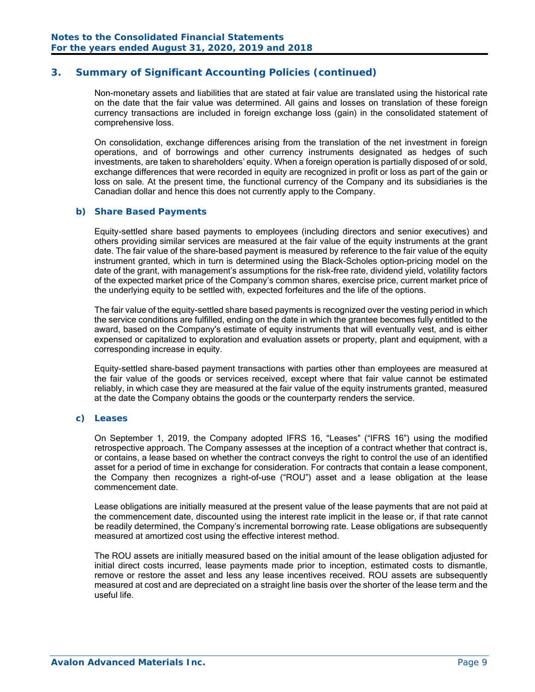Non-monetary assets and liabilities that are stated at fair value are translated using the historical rate on the date that the fair value was determined. All gains and losses on translation of these foreign currency transactions are included in foreign exchange loss (gain) in the consolidated statement of comprehensive loss.

On consolidation, exchange differences arising from the translation of the net investment in foreign operations, and of borrowings and other currency instruments designated as hedges of such investments, are taken to shareholders' equity. When a foreign operation is partially disposed of or sold, exchange differences that were recorded in equity are recognized in profit or loss as part of the gain or loss on sale. At the present time, the functional currency of the Company and its subsidiaries is the Canadian dollar and hence this does not currently apply to the Company.

## *b) Share Based Payments*

Equity-settled share based payments to employees (including directors and senior executives) and others providing similar services are measured at the fair value of the equity instruments at the grant date. The fair value of the share-based payment is measured by reference to the fair value of the equity instrument granted, which in turn is determined using the Black-Scholes option-pricing model on the date of the grant, with management's assumptions for the risk-free rate, dividend yield, volatility factors of the expected market price of the Company's common shares, exercise price, current market price of the underlying equity to be settled with, expected forfeitures and the life of the options.

The fair value of the equity-settled share based payments is recognized over the vesting period in which the service conditions are fulfilled, ending on the date in which the grantee becomes fully entitled to the award, based on the Company's estimate of equity instruments that will eventually vest, and is either expensed or capitalized to exploration and evaluation assets or property, plant and equipment, with a corresponding increase in equity.

Equity-settled share-based payment transactions with parties other than employees are measured at the fair value of the goods or services received, except where that fair value cannot be estimated reliably, in which case they are measured at the fair value of the equity instruments granted, measured at the date the Company obtains the goods or the counterparty renders the service.

#### *c) Leases*

On September 1, 2019, the Company adopted IFRS 16, "Leases" ("IFRS 16") using the modified retrospective approach. The Company assesses at the inception of a contract whether that contract is, or contains, a lease based on whether the contract conveys the right to control the use of an identified asset for a period of time in exchange for consideration. For contracts that contain a lease component, the Company then recognizes a right-of-use ("ROU") asset and a lease obligation at the lease commencement date.

Lease obligations are initially measured at the present value of the lease payments that are not paid at the commencement date, discounted using the interest rate implicit in the lease or, if that rate cannot be readily determined, the Company's incremental borrowing rate. Lease obligations are subsequently measured at amortized cost using the effective interest method.

The ROU assets are initially measured based on the initial amount of the lease obligation adjusted for initial direct costs incurred, lease payments made prior to inception, estimated costs to dismantle, remove or restore the asset and less any lease incentives received. ROU assets are subsequently measured at cost and are depreciated on a straight line basis over the shorter of the lease term and the useful life.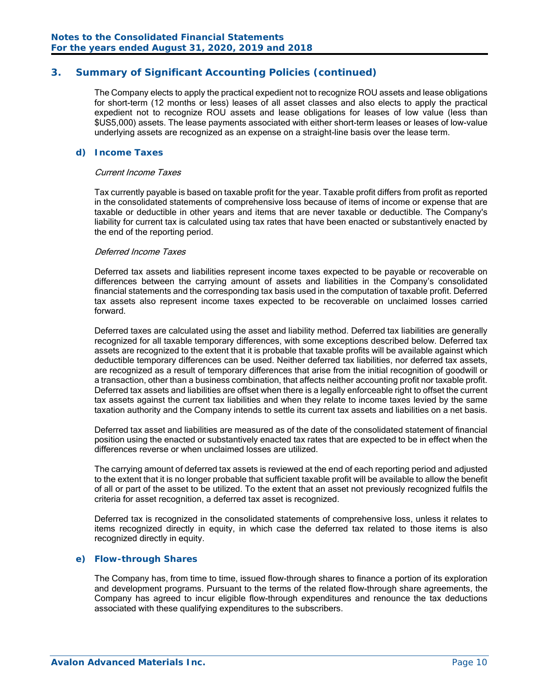The Company elects to apply the practical expedient not to recognize ROU assets and lease obligations for short-term (12 months or less) leases of all asset classes and also elects to apply the practical expedient not to recognize ROU assets and lease obligations for leases of low value (less than \$US5,000) assets. The lease payments associated with either short-term leases or leases of low-value underlying assets are recognized as an expense on a straight-line basis over the lease term.

### *d) Income Taxes*

#### Current Income Taxes

Tax currently payable is based on taxable profit for the year. Taxable profit differs from profit as reported in the consolidated statements of comprehensive loss because of items of income or expense that are taxable or deductible in other years and items that are never taxable or deductible. The Company's liability for current tax is calculated using tax rates that have been enacted or substantively enacted by the end of the reporting period.

#### Deferred Income Taxes

Deferred tax assets and liabilities represent income taxes expected to be payable or recoverable on differences between the carrying amount of assets and liabilities in the Company's consolidated financial statements and the corresponding tax basis used in the computation of taxable profit. Deferred tax assets also represent income taxes expected to be recoverable on unclaimed losses carried forward.

Deferred taxes are calculated using the asset and liability method. Deferred tax liabilities are generally recognized for all taxable temporary differences, with some exceptions described below. Deferred tax assets are recognized to the extent that it is probable that taxable profits will be available against which deductible temporary differences can be used. Neither deferred tax liabilities, nor deferred tax assets, are recognized as a result of temporary differences that arise from the initial recognition of goodwill or a transaction, other than a business combination, that affects neither accounting profit nor taxable profit. Deferred tax assets and liabilities are offset when there is a legally enforceable right to offset the current tax assets against the current tax liabilities and when they relate to income taxes levied by the same taxation authority and the Company intends to settle its current tax assets and liabilities on a net basis.

Deferred tax asset and liabilities are measured as of the date of the consolidated statement of financial position using the enacted or substantively enacted tax rates that are expected to be in effect when the differences reverse or when unclaimed losses are utilized.

The carrying amount of deferred tax assets is reviewed at the end of each reporting period and adjusted to the extent that it is no longer probable that sufficient taxable profit will be available to allow the benefit of all or part of the asset to be utilized. To the extent that an asset not previously recognized fulfils the criteria for asset recognition, a deferred tax asset is recognized.

Deferred tax is recognized in the consolidated statements of comprehensive loss, unless it relates to items recognized directly in equity, in which case the deferred tax related to those items is also recognized directly in equity.

#### *e) Flow-through Shares*

The Company has, from time to time, issued flow-through shares to finance a portion of its exploration and development programs. Pursuant to the terms of the related flow-through share agreements, the Company has agreed to incur eligible flow-through expenditures and renounce the tax deductions associated with these qualifying expenditures to the subscribers.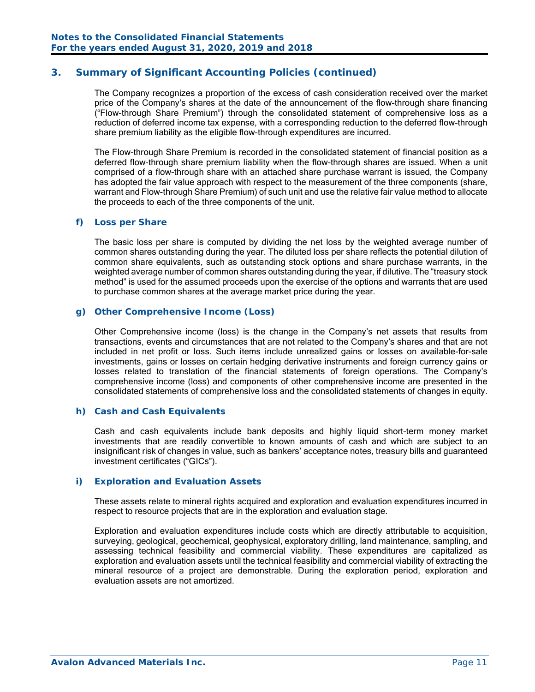The Company recognizes a proportion of the excess of cash consideration received over the market price of the Company's shares at the date of the announcement of the flow-through share financing ("Flow-through Share Premium") through the consolidated statement of comprehensive loss as a reduction of deferred income tax expense, with a corresponding reduction to the deferred flow-through share premium liability as the eligible flow-through expenditures are incurred.

The Flow-through Share Premium is recorded in the consolidated statement of financial position as a deferred flow-through share premium liability when the flow-through shares are issued. When a unit comprised of a flow-through share with an attached share purchase warrant is issued, the Company has adopted the fair value approach with respect to the measurement of the three components (share, warrant and Flow-through Share Premium) of such unit and use the relative fair value method to allocate the proceeds to each of the three components of the unit.

#### *f) Loss per Share*

The basic loss per share is computed by dividing the net loss by the weighted average number of common shares outstanding during the year. The diluted loss per share reflects the potential dilution of common share equivalents, such as outstanding stock options and share purchase warrants, in the weighted average number of common shares outstanding during the year, if dilutive. The "treasury stock method" is used for the assumed proceeds upon the exercise of the options and warrants that are used to purchase common shares at the average market price during the year.

## *g) Other Comprehensive Income (Loss)*

Other Comprehensive income (loss) is the change in the Company's net assets that results from transactions, events and circumstances that are not related to the Company's shares and that are not included in net profit or loss. Such items include unrealized gains or losses on available-for-sale investments, gains or losses on certain hedging derivative instruments and foreign currency gains or losses related to translation of the financial statements of foreign operations. The Company's comprehensive income (loss) and components of other comprehensive income are presented in the consolidated statements of comprehensive loss and the consolidated statements of changes in equity.

## *h) Cash and Cash Equivalents*

Cash and cash equivalents include bank deposits and highly liquid short-term money market investments that are readily convertible to known amounts of cash and which are subject to an insignificant risk of changes in value, such as bankers' acceptance notes, treasury bills and guaranteed investment certificates ("GICs").

#### *i) Exploration and Evaluation Assets*

These assets relate to mineral rights acquired and exploration and evaluation expenditures incurred in respect to resource projects that are in the exploration and evaluation stage.

Exploration and evaluation expenditures include costs which are directly attributable to acquisition, surveying, geological, geochemical, geophysical, exploratory drilling, land maintenance, sampling, and assessing technical feasibility and commercial viability. These expenditures are capitalized as exploration and evaluation assets until the technical feasibility and commercial viability of extracting the mineral resource of a project are demonstrable. During the exploration period, exploration and evaluation assets are not amortized.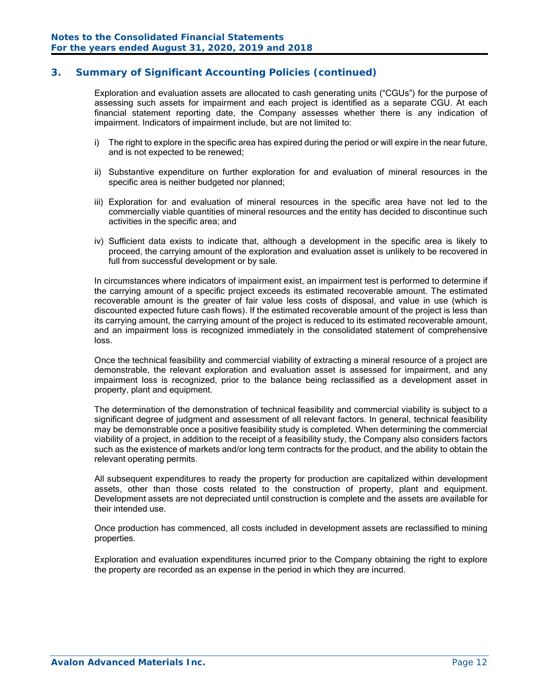Exploration and evaluation assets are allocated to cash generating units ("CGUs") for the purpose of assessing such assets for impairment and each project is identified as a separate CGU. At each financial statement reporting date, the Company assesses whether there is any indication of impairment. Indicators of impairment include, but are not limited to:

- i) The right to explore in the specific area has expired during the period or will expire in the near future, and is not expected to be renewed;
- ii) Substantive expenditure on further exploration for and evaluation of mineral resources in the specific area is neither budgeted nor planned;
- iii) Exploration for and evaluation of mineral resources in the specific area have not led to the commercially viable quantities of mineral resources and the entity has decided to discontinue such activities in the specific area; and
- iv) Sufficient data exists to indicate that, although a development in the specific area is likely to proceed, the carrying amount of the exploration and evaluation asset is unlikely to be recovered in full from successful development or by sale.

In circumstances where indicators of impairment exist, an impairment test is performed to determine if the carrying amount of a specific project exceeds its estimated recoverable amount. The estimated recoverable amount is the greater of fair value less costs of disposal, and value in use (which is discounted expected future cash flows). If the estimated recoverable amount of the project is less than its carrying amount, the carrying amount of the project is reduced to its estimated recoverable amount, and an impairment loss is recognized immediately in the consolidated statement of comprehensive loss.

Once the technical feasibility and commercial viability of extracting a mineral resource of a project are demonstrable, the relevant exploration and evaluation asset is assessed for impairment, and any impairment loss is recognized, prior to the balance being reclassified as a development asset in property, plant and equipment.

The determination of the demonstration of technical feasibility and commercial viability is subject to a significant degree of judgment and assessment of all relevant factors. In general, technical feasibility may be demonstrable once a positive feasibility study is completed. When determining the commercial viability of a project, in addition to the receipt of a feasibility study, the Company also considers factors such as the existence of markets and/or long term contracts for the product, and the ability to obtain the relevant operating permits.

All subsequent expenditures to ready the property for production are capitalized within development assets, other than those costs related to the construction of property, plant and equipment. Development assets are not depreciated until construction is complete and the assets are available for their intended use.

Once production has commenced, all costs included in development assets are reclassified to mining properties.

Exploration and evaluation expenditures incurred prior to the Company obtaining the right to explore the property are recorded as an expense in the period in which they are incurred.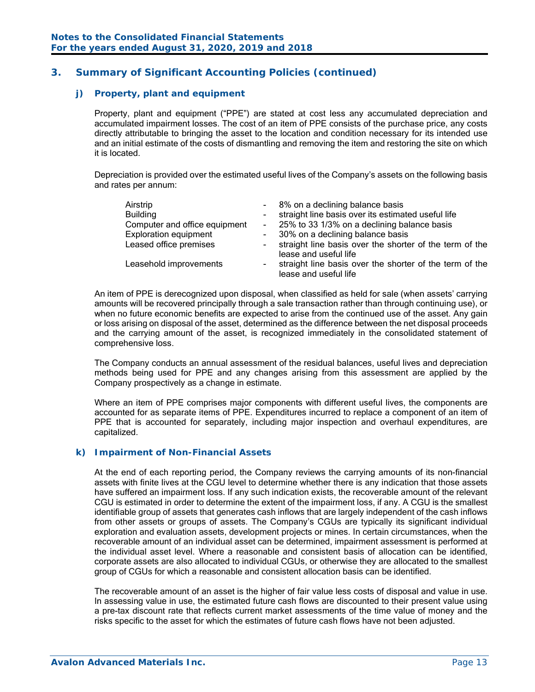## *j) Property, plant and equipment*

Property, plant and equipment ("PPE") are stated at cost less any accumulated depreciation and accumulated impairment losses. The cost of an item of PPE consists of the purchase price, any costs directly attributable to bringing the asset to the location and condition necessary for its intended use and an initial estimate of the costs of dismantling and removing the item and restoring the site on which it is located.

Depreciation is provided over the estimated useful lives of the Company's assets on the following basis and rates per annum:

| Airstrip<br><b>Building</b><br>Computer and office equipment | - 8% on a declining balance basis<br>straight line basis over its estimated useful life<br>- 25% to 33 1/3% on a declining balance basis |
|--------------------------------------------------------------|------------------------------------------------------------------------------------------------------------------------------------------|
| <b>Exploration equipment</b><br>Leased office premises       | - 30% on a declining balance basis<br>- straight line basis over the shorter of the term of the                                          |
|                                                              | lease and useful life                                                                                                                    |
| Leasehold improvements                                       | - straight line basis over the shorter of the term of the<br>lease and useful life                                                       |

An item of PPE is derecognized upon disposal, when classified as held for sale (when assets' carrying amounts will be recovered principally through a sale transaction rather than through continuing use), or when no future economic benefits are expected to arise from the continued use of the asset. Any gain or loss arising on disposal of the asset, determined as the difference between the net disposal proceeds and the carrying amount of the asset, is recognized immediately in the consolidated statement of comprehensive loss.

The Company conducts an annual assessment of the residual balances, useful lives and depreciation methods being used for PPE and any changes arising from this assessment are applied by the Company prospectively as a change in estimate.

Where an item of PPE comprises major components with different useful lives, the components are accounted for as separate items of PPE. Expenditures incurred to replace a component of an item of PPE that is accounted for separately, including major inspection and overhaul expenditures, are capitalized.

## *k) Impairment of Non-Financial Assets*

At the end of each reporting period, the Company reviews the carrying amounts of its non-financial assets with finite lives at the CGU level to determine whether there is any indication that those assets have suffered an impairment loss. If any such indication exists, the recoverable amount of the relevant CGU is estimated in order to determine the extent of the impairment loss, if any. A CGU is the smallest identifiable group of assets that generates cash inflows that are largely independent of the cash inflows from other assets or groups of assets. The Company's CGUs are typically its significant individual exploration and evaluation assets, development projects or mines. In certain circumstances, when the recoverable amount of an individual asset can be determined, impairment assessment is performed at the individual asset level. Where a reasonable and consistent basis of allocation can be identified, corporate assets are also allocated to individual CGUs, or otherwise they are allocated to the smallest group of CGUs for which a reasonable and consistent allocation basis can be identified.

The recoverable amount of an asset is the higher of fair value less costs of disposal and value in use. In assessing value in use, the estimated future cash flows are discounted to their present value using a pre-tax discount rate that reflects current market assessments of the time value of money and the risks specific to the asset for which the estimates of future cash flows have not been adjusted.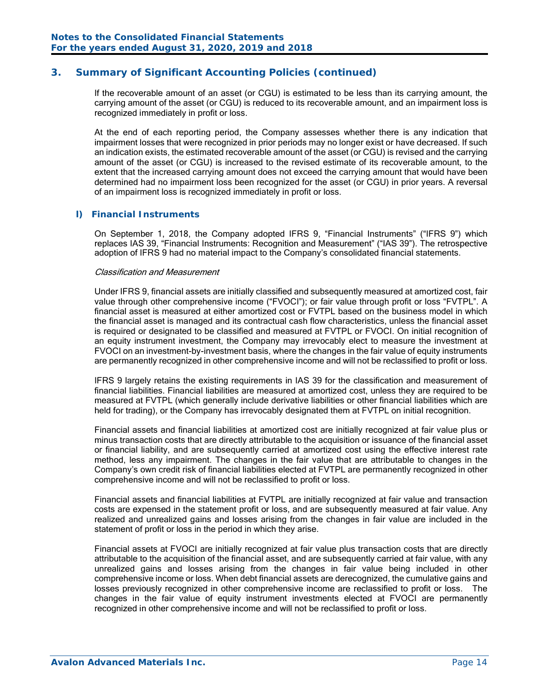If the recoverable amount of an asset (or CGU) is estimated to be less than its carrying amount, the carrying amount of the asset (or CGU) is reduced to its recoverable amount, and an impairment loss is recognized immediately in profit or loss.

At the end of each reporting period, the Company assesses whether there is any indication that impairment losses that were recognized in prior periods may no longer exist or have decreased. If such an indication exists, the estimated recoverable amount of the asset (or CGU) is revised and the carrying amount of the asset (or CGU) is increased to the revised estimate of its recoverable amount, to the extent that the increased carrying amount does not exceed the carrying amount that would have been determined had no impairment loss been recognized for the asset (or CGU) in prior years. A reversal of an impairment loss is recognized immediately in profit or loss.

## *l) Financial Instruments*

On September 1, 2018, the Company adopted IFRS 9, "Financial Instruments" ("IFRS 9") which replaces IAS 39, "Financial Instruments: Recognition and Measurement" ("IAS 39"). The retrospective adoption of IFRS 9 had no material impact to the Company's consolidated financial statements.

#### Classification and Measurement

Under IFRS 9, financial assets are initially classified and subsequently measured at amortized cost, fair value through other comprehensive income ("FVOCI"); or fair value through profit or loss "FVTPL". A financial asset is measured at either amortized cost or FVTPL based on the business model in which the financial asset is managed and its contractual cash flow characteristics, unless the financial asset is required or designated to be classified and measured at FVTPL or FVOCI. On initial recognition of an equity instrument investment, the Company may irrevocably elect to measure the investment at FVOCI on an investment-by-investment basis, where the changes in the fair value of equity instruments are permanently recognized in other comprehensive income and will not be reclassified to profit or loss.

IFRS 9 largely retains the existing requirements in IAS 39 for the classification and measurement of financial liabilities. Financial liabilities are measured at amortized cost, unless they are required to be measured at FVTPL (which generally include derivative liabilities or other financial liabilities which are held for trading), or the Company has irrevocably designated them at FVTPL on initial recognition.

Financial assets and financial liabilities at amortized cost are initially recognized at fair value plus or minus transaction costs that are directly attributable to the acquisition or issuance of the financial asset or financial liability, and are subsequently carried at amortized cost using the effective interest rate method, less any impairment. The changes in the fair value that are attributable to changes in the Company's own credit risk of financial liabilities elected at FVTPL are permanently recognized in other comprehensive income and will not be reclassified to profit or loss.

Financial assets and financial liabilities at FVTPL are initially recognized at fair value and transaction costs are expensed in the statement profit or loss, and are subsequently measured at fair value. Any realized and unrealized gains and losses arising from the changes in fair value are included in the statement of profit or loss in the period in which they arise.

Financial assets at FVOCI are initially recognized at fair value plus transaction costs that are directly attributable to the acquisition of the financial asset, and are subsequently carried at fair value, with any unrealized gains and losses arising from the changes in fair value being included in other comprehensive income or loss. When debt financial assets are derecognized, the cumulative gains and losses previously recognized in other comprehensive income are reclassified to profit or loss. The changes in the fair value of equity instrument investments elected at FVOCI are permanently recognized in other comprehensive income and will not be reclassified to profit or loss.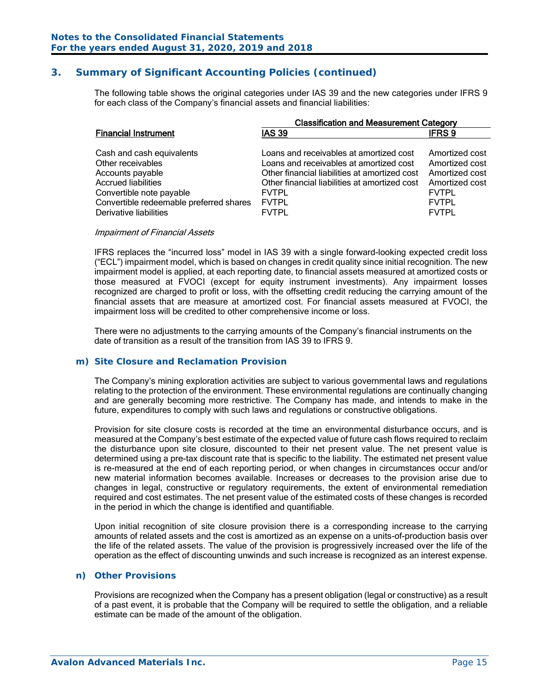The following table shows the original categories under IAS 39 and the new categories under IFRS 9 for each class of the Company's financial assets and financial liabilities:

|                                         | <b>Classification and Measurement Category</b> |                |  |  |  |  |  |
|-----------------------------------------|------------------------------------------------|----------------|--|--|--|--|--|
| <b>Financial Instrument</b>             | <b>IAS 39</b>                                  | <b>IFRS 9</b>  |  |  |  |  |  |
|                                         |                                                |                |  |  |  |  |  |
| Cash and cash equivalents               | Loans and receivables at amortized cost        | Amortized cost |  |  |  |  |  |
| Other receivables                       | Loans and receivables at amortized cost        | Amortized cost |  |  |  |  |  |
| Accounts payable                        | Other financial liabilities at amortized cost  | Amortized cost |  |  |  |  |  |
| <b>Accrued liabilities</b>              | Other financial liabilities at amortized cost  | Amortized cost |  |  |  |  |  |
| Convertible note payable                | <b>FVTPL</b>                                   | <b>FVTPL</b>   |  |  |  |  |  |
| Convertible redeemable preferred shares | <b>FVTPL</b>                                   | <b>FVTPL</b>   |  |  |  |  |  |
| Derivative liabilities                  | <b>FVTPI</b>                                   | <b>FVTPL</b>   |  |  |  |  |  |

#### Impairment of Financial Assets

IFRS replaces the "incurred loss" model in IAS 39 with a single forward-looking expected credit loss ("ECL") impairment model, which is based on changes in credit quality since initial recognition. The new impairment model is applied, at each reporting date, to financial assets measured at amortized costs or those measured at FVOCI (except for equity instrument investments). Any impairment losses recognized are charged to profit or loss, with the offsetting credit reducing the carrying amount of the financial assets that are measure at amortized cost. For financial assets measured at FVOCI, the impairment loss will be credited to other comprehensive income or loss.

There were no adjustments to the carrying amounts of the Company's financial instruments on the date of transition as a result of the transition from IAS 39 to IFRS 9.

#### *m) Site Closure and Reclamation Provision*

The Company's mining exploration activities are subject to various governmental laws and regulations relating to the protection of the environment. These environmental regulations are continually changing and are generally becoming more restrictive. The Company has made, and intends to make in the future, expenditures to comply with such laws and regulations or constructive obligations.

Provision for site closure costs is recorded at the time an environmental disturbance occurs, and is measured at the Company's best estimate of the expected value of future cash flows required to reclaim the disturbance upon site closure, discounted to their net present value. The net present value is determined using a pre-tax discount rate that is specific to the liability. The estimated net present value is re-measured at the end of each reporting period, or when changes in circumstances occur and/or new material information becomes available. Increases or decreases to the provision arise due to changes in legal, constructive or regulatory requirements, the extent of environmental remediation required and cost estimates. The net present value of the estimated costs of these changes is recorded in the period in which the change is identified and quantifiable.

Upon initial recognition of site closure provision there is a corresponding increase to the carrying amounts of related assets and the cost is amortized as an expense on a units-of-production basis over the life of the related assets. The value of the provision is progressively increased over the life of the operation as the effect of discounting unwinds and such increase is recognized as an interest expense.

#### *n) Other Provisions*

Provisions are recognized when the Company has a present obligation (legal or constructive) as a result of a past event, it is probable that the Company will be required to settle the obligation, and a reliable estimate can be made of the amount of the obligation.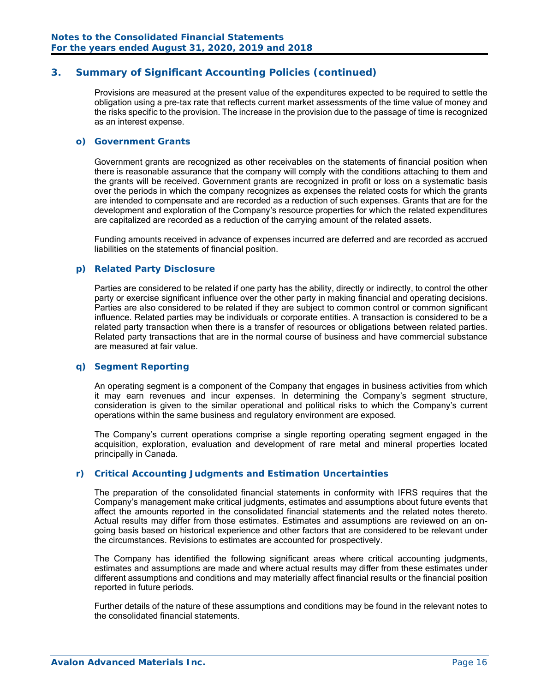Provisions are measured at the present value of the expenditures expected to be required to settle the obligation using a pre-tax rate that reflects current market assessments of the time value of money and the risks specific to the provision. The increase in the provision due to the passage of time is recognized as an interest expense.

#### *o) Government Grants*

Government grants are recognized as other receivables on the statements of financial position when there is reasonable assurance that the company will comply with the conditions attaching to them and the grants will be received. Government grants are recognized in profit or loss on a systematic basis over the periods in which the company recognizes as expenses the related costs for which the grants are intended to compensate and are recorded as a reduction of such expenses. Grants that are for the development and exploration of the Company's resource properties for which the related expenditures are capitalized are recorded as a reduction of the carrying amount of the related assets.

Funding amounts received in advance of expenses incurred are deferred and are recorded as accrued liabilities on the statements of financial position.

## *p) Related Party Disclosure*

Parties are considered to be related if one party has the ability, directly or indirectly, to control the other party or exercise significant influence over the other party in making financial and operating decisions. Parties are also considered to be related if they are subject to common control or common significant influence. Related parties may be individuals or corporate entities. A transaction is considered to be a related party transaction when there is a transfer of resources or obligations between related parties. Related party transactions that are in the normal course of business and have commercial substance are measured at fair value.

#### *q) Segment Reporting*

An operating segment is a component of the Company that engages in business activities from which it may earn revenues and incur expenses. In determining the Company's segment structure, consideration is given to the similar operational and political risks to which the Company's current operations within the same business and regulatory environment are exposed.

The Company's current operations comprise a single reporting operating segment engaged in the acquisition, exploration, evaluation and development of rare metal and mineral properties located principally in Canada.

## *r) Critical Accounting Judgments and Estimation Uncertainties*

The preparation of the consolidated financial statements in conformity with IFRS requires that the Company's management make critical judgments, estimates and assumptions about future events that affect the amounts reported in the consolidated financial statements and the related notes thereto. Actual results may differ from those estimates. Estimates and assumptions are reviewed on an ongoing basis based on historical experience and other factors that are considered to be relevant under the circumstances. Revisions to estimates are accounted for prospectively.

The Company has identified the following significant areas where critical accounting judgments, estimates and assumptions are made and where actual results may differ from these estimates under different assumptions and conditions and may materially affect financial results or the financial position reported in future periods.

Further details of the nature of these assumptions and conditions may be found in the relevant notes to the consolidated financial statements.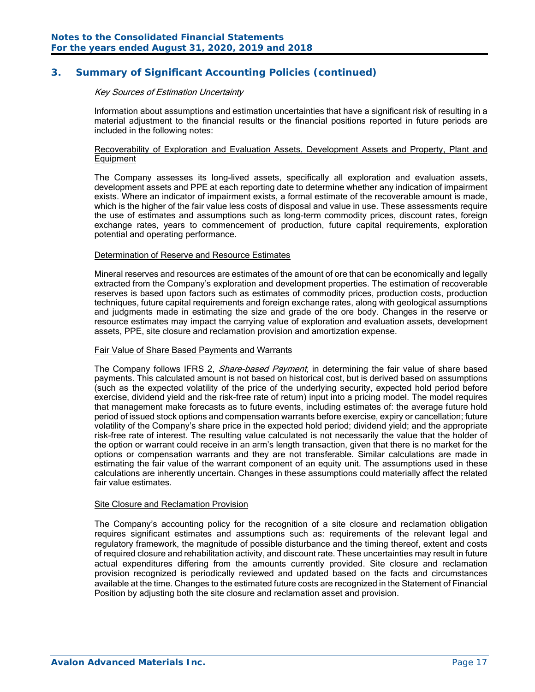#### Key Sources of Estimation Uncertainty

Information about assumptions and estimation uncertainties that have a significant risk of resulting in a material adjustment to the financial results or the financial positions reported in future periods are included in the following notes:

#### Recoverability of Exploration and Evaluation Assets, Development Assets and Property, Plant and Equipment

The Company assesses its long-lived assets, specifically all exploration and evaluation assets, development assets and PPE at each reporting date to determine whether any indication of impairment exists. Where an indicator of impairment exists, a formal estimate of the recoverable amount is made, which is the higher of the fair value less costs of disposal and value in use. These assessments require the use of estimates and assumptions such as long-term commodity prices, discount rates, foreign exchange rates, years to commencement of production, future capital requirements, exploration potential and operating performance.

#### Determination of Reserve and Resource Estimates

Mineral reserves and resources are estimates of the amount of ore that can be economically and legally extracted from the Company's exploration and development properties. The estimation of recoverable reserves is based upon factors such as estimates of commodity prices, production costs, production techniques, future capital requirements and foreign exchange rates, along with geological assumptions and judgments made in estimating the size and grade of the ore body. Changes in the reserve or resource estimates may impact the carrying value of exploration and evaluation assets, development assets, PPE, site closure and reclamation provision and amortization expense.

#### Fair Value of Share Based Payments and Warrants

The Company follows IFRS 2, *Share-based Payment*, in determining the fair value of share based payments. This calculated amount is not based on historical cost, but is derived based on assumptions (such as the expected volatility of the price of the underlying security, expected hold period before exercise, dividend yield and the risk-free rate of return) input into a pricing model. The model requires that management make forecasts as to future events, including estimates of: the average future hold period of issued stock options and compensation warrants before exercise, expiry or cancellation; future volatility of the Company's share price in the expected hold period; dividend yield; and the appropriate risk-free rate of interest. The resulting value calculated is not necessarily the value that the holder of the option or warrant could receive in an arm's length transaction, given that there is no market for the options or compensation warrants and they are not transferable. Similar calculations are made in estimating the fair value of the warrant component of an equity unit. The assumptions used in these calculations are inherently uncertain. Changes in these assumptions could materially affect the related fair value estimates.

#### Site Closure and Reclamation Provision

The Company's accounting policy for the recognition of a site closure and reclamation obligation requires significant estimates and assumptions such as: requirements of the relevant legal and regulatory framework, the magnitude of possible disturbance and the timing thereof, extent and costs of required closure and rehabilitation activity, and discount rate. These uncertainties may result in future actual expenditures differing from the amounts currently provided. Site closure and reclamation provision recognized is periodically reviewed and updated based on the facts and circumstances available at the time. Changes to the estimated future costs are recognized in the Statement of Financial Position by adjusting both the site closure and reclamation asset and provision.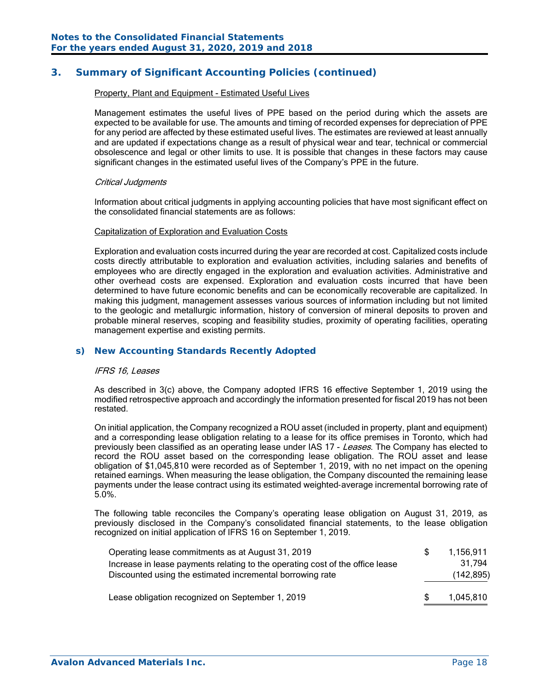#### Property, Plant and Equipment - Estimated Useful Lives

Management estimates the useful lives of PPE based on the period during which the assets are expected to be available for use. The amounts and timing of recorded expenses for depreciation of PPE for any period are affected by these estimated useful lives. The estimates are reviewed at least annually and are updated if expectations change as a result of physical wear and tear, technical or commercial obsolescence and legal or other limits to use. It is possible that changes in these factors may cause significant changes in the estimated useful lives of the Company's PPE in the future.

#### Critical Judgments

Information about critical judgments in applying accounting policies that have most significant effect on the consolidated financial statements are as follows:

#### Capitalization of Exploration and Evaluation Costs

Exploration and evaluation costs incurred during the year are recorded at cost. Capitalized costs include costs directly attributable to exploration and evaluation activities, including salaries and benefits of employees who are directly engaged in the exploration and evaluation activities. Administrative and other overhead costs are expensed. Exploration and evaluation costs incurred that have been determined to have future economic benefits and can be economically recoverable are capitalized. In making this judgment, management assesses various sources of information including but not limited to the geologic and metallurgic information, history of conversion of mineral deposits to proven and probable mineral reserves, scoping and feasibility studies, proximity of operating facilities, operating management expertise and existing permits.

### *s) New Accounting Standards Recently Adopted*

#### IFRS 16, Leases

As described in 3(c) above, the Company adopted IFRS 16 effective September 1, 2019 using the modified retrospective approach and accordingly the information presented for fiscal 2019 has not been restated.

On initial application, the Company recognized a ROU asset (included in property, plant and equipment) and a corresponding lease obligation relating to a lease for its office premises in Toronto, which had previously been classified as an operating lease under IAS 17 - Leases. The Company has elected to record the ROU asset based on the corresponding lease obligation. The ROU asset and lease obligation of \$1,045,810 were recorded as of September 1, 2019, with no net impact on the opening retained earnings. When measuring the lease obligation, the Company discounted the remaining lease payments under the lease contract using its estimated weighted‐average incremental borrowing rate of 5.0%.

The following table reconciles the Company's operating lease obligation on August 31, 2019, as previously disclosed in the Company's consolidated financial statements, to the lease obligation recognized on initial application of IFRS 16 on September 1, 2019.

| Operating lease commitments as at August 31, 2019                             | - 55 | 1,156,911  |
|-------------------------------------------------------------------------------|------|------------|
| Increase in lease payments relating to the operating cost of the office lease |      | 31.794     |
| Discounted using the estimated incremental borrowing rate                     |      | (142, 895) |
|                                                                               |      |            |
| Lease obligation recognized on September 1, 2019                              | -S   | 1,045,810  |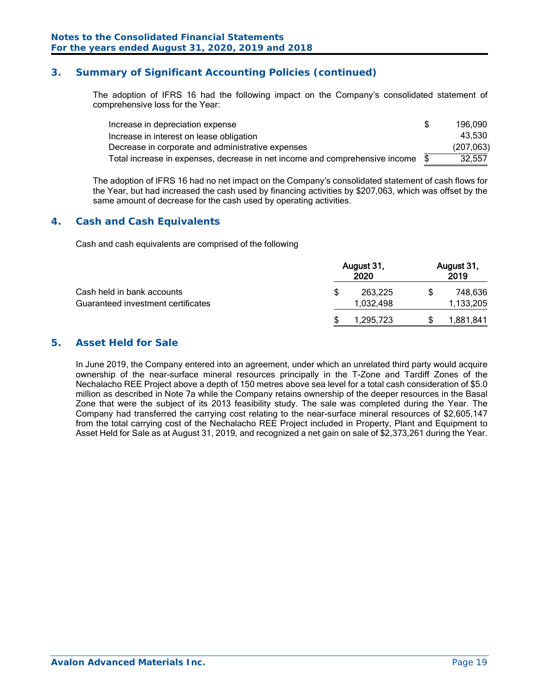The adoption of IFRS 16 had the following impact on the Company's consolidated statement of comprehensive loss for the Year:

| Increase in depreciation expense                                               | 196.090   |
|--------------------------------------------------------------------------------|-----------|
| Increase in interest on lease obligation                                       | 43.530    |
| Decrease in corporate and administrative expenses                              | (207,063) |
| Total increase in expenses, decrease in net income and comprehensive income \$ | 32.557    |

The adoption of IFRS 16 had no net impact on the Company's consolidated statement of cash flows for the Year, but had increased the cash used by financing activities by \$207,063, which was offset by the same amount of decrease for the cash used by operating activities.

## **4. Cash and Cash Equivalents**

Cash and cash equivalents are comprised of the following

|                                    | August 31, | August 31,<br>2019 |  |           |
|------------------------------------|------------|--------------------|--|-----------|
| Cash held in bank accounts         |            | 263.225            |  | 748,636   |
| Guaranteed investment certificates |            | 1,032,498          |  | 1,133,205 |
|                                    |            | 1,295,723          |  | 1,881,841 |

## **5. Asset Held for Sale**

In June 2019, the Company entered into an agreement, under which an unrelated third party would acquire ownership of the near-surface mineral resources principally in the T-Zone and Tardiff Zones of the Nechalacho REE Project above a depth of 150 metres above sea level for a total cash consideration of \$5.0 million as described in Note 7a while the Company retains ownership of the deeper resources in the Basal Zone that were the subject of its 2013 feasibility study. The sale was completed during the Year. The Company had transferred the carrying cost relating to the near-surface mineral resources of \$2,605,147 from the total carrying cost of the Nechalacho REE Project included in Property, Plant and Equipment to Asset Held for Sale as at August 31, 2019, and recognized a net gain on sale of \$2,373,261 during the Year.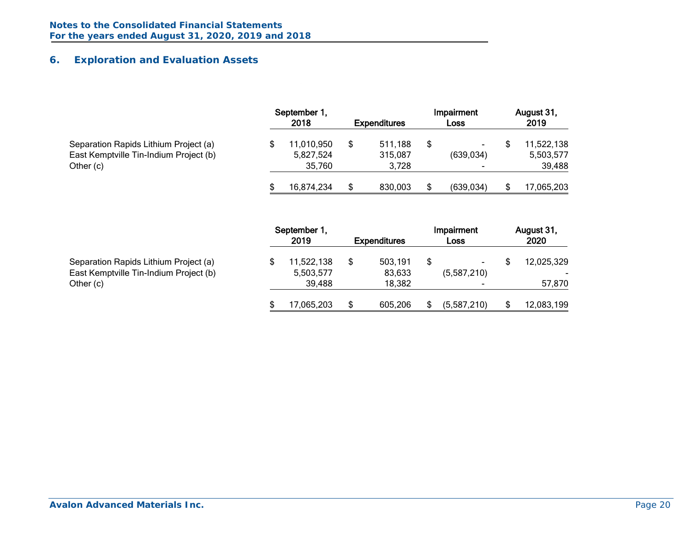## **Notes to the Consolidated Financial Statements For the years ended August 31, 2020, 2019 and 2018**

# **6. Exploration and Evaluation Assets**

|                                                                                              | September 1,<br>2018              | <b>Expenditures</b>         | Impairment<br>Loss | August 31,<br>2019                |
|----------------------------------------------------------------------------------------------|-----------------------------------|-----------------------------|--------------------|-----------------------------------|
| Separation Rapids Lithium Project (a)<br>East Kemptville Tin-Indium Project (b)<br>Other (c) | 11.010.950<br>5,827,524<br>35.760 | 511,188<br>315,087<br>3,728 | \$<br>(639, 034)   | 11,522,138<br>5,503,577<br>39,488 |
|                                                                                              | 16,874,234                        | 830,003                     | \$<br>(639, 034)   | 17,065,203                        |

|                                        | September 1,<br>2019 | <b>Expenditures</b> | Impairment<br>Loss | August 31,<br>2020 |
|----------------------------------------|----------------------|---------------------|--------------------|--------------------|
| Separation Rapids Lithium Project (a)  | 11,522,138           | 503,191             | $\blacksquare$     | 12,025,329         |
| East Kemptville Tin-Indium Project (b) | 5,503,577            | 83,633              | (5,587,210)        |                    |
| Other (c)                              | 39.488               | 18,382              | $\,$ $\,$          | 57,870             |
|                                        | 17,065,203           | 605,206             | (5,587,210)        | 12,083,199         |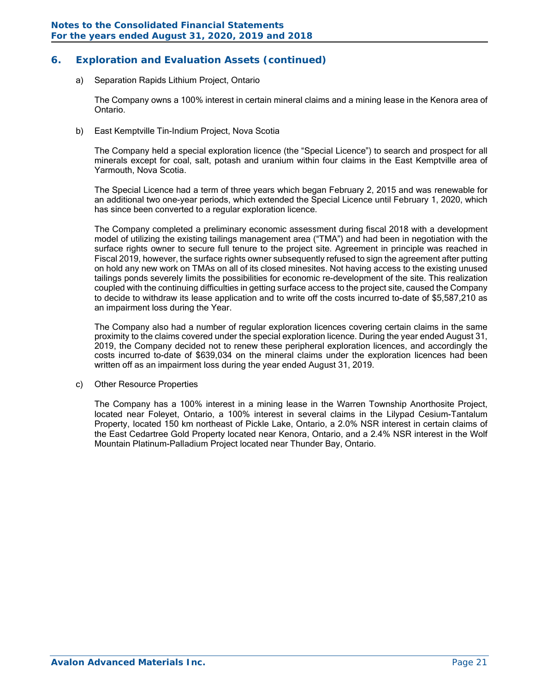# **6. Exploration and Evaluation Assets (continued)**

a) Separation Rapids Lithium Project, Ontario

The Company owns a 100% interest in certain mineral claims and a mining lease in the Kenora area of Ontario.

b) East Kemptville Tin-Indium Project, Nova Scotia

The Company held a special exploration licence (the "Special Licence") to search and prospect for all minerals except for coal, salt, potash and uranium within four claims in the East Kemptville area of Yarmouth, Nova Scotia.

The Special Licence had a term of three years which began February 2, 2015 and was renewable for an additional two one-year periods, which extended the Special Licence until February 1, 2020, which has since been converted to a regular exploration licence.

The Company completed a preliminary economic assessment during fiscal 2018 with a development model of utilizing the existing tailings management area ("TMA") and had been in negotiation with the surface rights owner to secure full tenure to the project site. Agreement in principle was reached in Fiscal 2019, however, the surface rights owner subsequently refused to sign the agreement after putting on hold any new work on TMAs on all of its closed minesites. Not having access to the existing unused tailings ponds severely limits the possibilities for economic re-development of the site. This realization coupled with the continuing difficulties in getting surface access to the project site, caused the Company to decide to withdraw its lease application and to write off the costs incurred to-date of \$5,587,210 as an impairment loss during the Year.

The Company also had a number of regular exploration licences covering certain claims in the same proximity to the claims covered under the special exploration licence. During the year ended August 31, 2019, the Company decided not to renew these peripheral exploration licences, and accordingly the costs incurred to-date of \$639,034 on the mineral claims under the exploration licences had been written off as an impairment loss during the year ended August 31, 2019.

c) Other Resource Properties

The Company has a 100% interest in a mining lease in the Warren Township Anorthosite Project, located near Foleyet, Ontario, a 100% interest in several claims in the Lilypad Cesium-Tantalum Property, located 150 km northeast of Pickle Lake, Ontario, a 2.0% NSR interest in certain claims of the East Cedartree Gold Property located near Kenora, Ontario, and a 2.4% NSR interest in the Wolf Mountain Platinum-Palladium Project located near Thunder Bay, Ontario.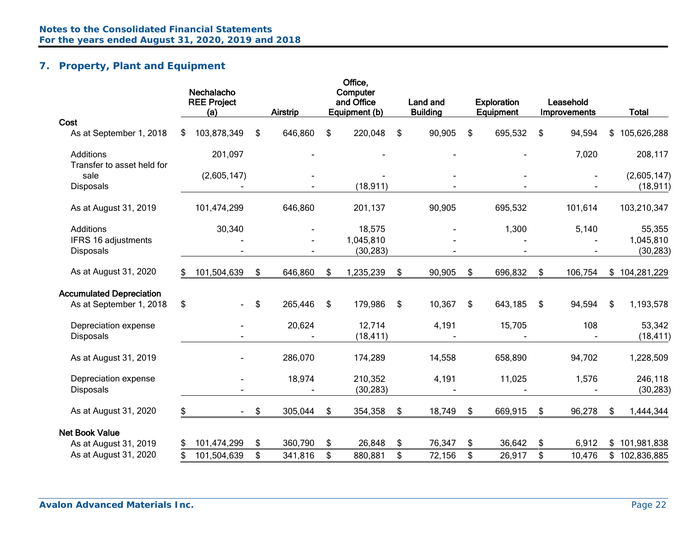# **7. Property, Plant and Equipment**

|                                 |     | Nechalacho<br><b>REE Project</b><br>(a) | <b>Airstrip</b> | Office,<br>Computer<br>and Office<br>Equipment (b) | <b>Land and</b><br><b>Building</b> | <b>Exploration</b><br>Equipment | Leasehold<br><b>Improvements</b> | <b>Total</b>             |
|---------------------------------|-----|-----------------------------------------|-----------------|----------------------------------------------------|------------------------------------|---------------------------------|----------------------------------|--------------------------|
| Cost                            |     |                                         |                 |                                                    |                                    |                                 |                                  |                          |
| As at September 1, 2018         | S.  | 103,878,349                             | \$<br>646,860   | \$<br>220,048                                      | \$<br>90,905                       | \$<br>695,532                   | \$<br>94,594                     | \$<br>105,626,288        |
| <b>Additions</b>                |     | 201,097                                 |                 |                                                    |                                    |                                 | 7,020                            | 208,117                  |
| Transfer to asset held for      |     |                                         |                 |                                                    |                                    |                                 |                                  |                          |
| sale<br><b>Disposals</b>        |     | (2,605,147)                             |                 | (18, 911)                                          |                                    |                                 |                                  | (2,605,147)<br>(18, 911) |
|                                 |     |                                         |                 |                                                    |                                    |                                 |                                  |                          |
| As at August 31, 2019           |     | 101,474,299                             | 646,860         | 201,137                                            | 90,905                             | 695,532                         | 101,614                          | 103,210,347              |
| Additions                       |     | 30,340                                  |                 | 18,575                                             |                                    | 1,300                           | 5,140                            | 55,355                   |
| IFRS 16 adjustments             |     |                                         |                 | 1,045,810                                          |                                    |                                 |                                  | 1,045,810                |
| <b>Disposals</b>                |     |                                         |                 | (30, 283)                                          |                                    |                                 |                                  | (30, 283)                |
| As at August 31, 2020           | SS. | 101,504,639                             | \$<br>646,860   | \$<br>1,235,239                                    | \$<br>90,905                       | \$<br>696,832                   | \$<br>106,754                    | \$104,281,229            |
| <b>Accumulated Depreciation</b> |     |                                         |                 |                                                    |                                    |                                 |                                  |                          |
| As at September 1, 2018         | \$  |                                         | \$<br>265,446   | \$<br>179,986                                      | \$<br>10,367                       | \$<br>643,185                   | \$<br>94,594                     | \$<br>1,193,578          |
| Depreciation expense            |     |                                         | 20,624          | 12,714                                             | 4,191                              | 15,705                          | 108                              | 53,342                   |
| Disposals                       |     |                                         |                 | (18, 411)                                          |                                    |                                 |                                  | (18, 411)                |
| As at August 31, 2019           |     |                                         | 286,070         | 174,289                                            | 14,558                             | 658,890                         | 94,702                           | 1,228,509                |
| Depreciation expense            |     |                                         | 18,974          | 210,352                                            | 4,191                              | 11,025                          | 1,576                            | 246,118                  |
| <b>Disposals</b>                |     |                                         |                 | (30, 283)                                          |                                    |                                 |                                  | (30, 283)                |
| As at August 31, 2020           | \$  |                                         | \$<br>305,044   | \$<br>354,358                                      | \$<br>18,749                       | \$<br>669,915                   | \$<br>96,278                     | \$<br>1,444,344          |
| <b>Net Book Value</b>           |     |                                         |                 |                                                    |                                    |                                 |                                  |                          |
| As at August 31, 2019           |     | 101,474,299                             | \$<br>360,790   | \$<br>26,848                                       | \$<br>76,347                       | \$<br>36,642                    | \$<br>6,912                      | \$101,981,838            |
| As at August 31, 2020           |     | 101,504,639                             | \$<br>341,816   | \$<br>880,881                                      | \$<br>72,156                       | \$<br>26,917                    | \$<br>10,476                     | \$<br>102,836,885        |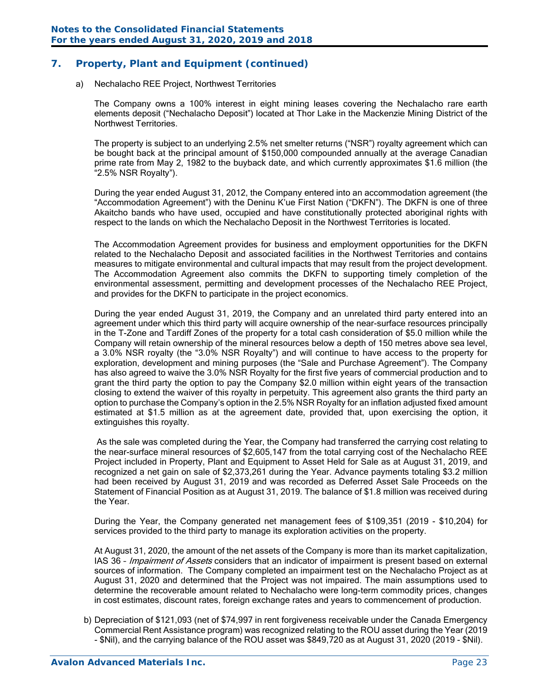# **7. Property, Plant and Equipment (continued)**

#### a) Nechalacho REE Project, Northwest Territories

The Company owns a 100% interest in eight mining leases covering the Nechalacho rare earth elements deposit ("Nechalacho Deposit") located at Thor Lake in the Mackenzie Mining District of the Northwest Territories.

The property is subject to an underlying 2.5% net smelter returns ("NSR") royalty agreement which can be bought back at the principal amount of \$150,000 compounded annually at the average Canadian prime rate from May 2, 1982 to the buyback date, and which currently approximates \$1.6 million (the "2.5% NSR Royalty").

During the year ended August 31, 2012, the Company entered into an accommodation agreement (the "Accommodation Agreement") with the Deninu K'ue First Nation ("DKFN"). The DKFN is one of three Akaitcho bands who have used, occupied and have constitutionally protected aboriginal rights with respect to the lands on which the Nechalacho Deposit in the Northwest Territories is located.

The Accommodation Agreement provides for business and employment opportunities for the DKFN related to the Nechalacho Deposit and associated facilities in the Northwest Territories and contains measures to mitigate environmental and cultural impacts that may result from the project development. The Accommodation Agreement also commits the DKFN to supporting timely completion of the environmental assessment, permitting and development processes of the Nechalacho REE Project, and provides for the DKFN to participate in the project economics.

During the year ended August 31, 2019, the Company and an unrelated third party entered into an agreement under which this third party will acquire ownership of the near-surface resources principally in the T-Zone and Tardiff Zones of the property for a total cash consideration of \$5.0 million while the Company will retain ownership of the mineral resources below a depth of 150 metres above sea level, a 3.0% NSR royalty (the "3.0% NSR Royalty") and will continue to have access to the property for exploration, development and mining purposes (the "Sale and Purchase Agreement"). The Company has also agreed to waive the 3.0% NSR Royalty for the first five years of commercial production and to grant the third party the option to pay the Company \$2.0 million within eight years of the transaction closing to extend the waiver of this royalty in perpetuity. This agreement also grants the third party an option to purchase the Company's option in the 2.5% NSR Royalty for an inflation adjusted fixed amount estimated at \$1.5 million as at the agreement date, provided that, upon exercising the option, it extinguishes this royalty.

As the sale was completed during the Year, the Company had transferred the carrying cost relating to the near-surface mineral resources of \$2,605,147 from the total carrying cost of the Nechalacho REE Project included in Property, Plant and Equipment to Asset Held for Sale as at August 31, 2019, and recognized a net gain on sale of \$2,373,261 during the Year. Advance payments totaling \$3.2 million had been received by August 31, 2019 and was recorded as Deferred Asset Sale Proceeds on the Statement of Financial Position as at August 31, 2019. The balance of \$1.8 million was received during the Year.

During the Year, the Company generated net management fees of \$109,351 (2019 - \$10,204) for services provided to the third party to manage its exploration activities on the property.

At August 31, 2020, the amount of the net assets of the Company is more than its market capitalization, IAS 36 - *Impairment of Assets* considers that an indicator of impairment is present based on external sources of information. The Company completed an impairment test on the Nechalacho Project as at August 31, 2020 and determined that the Project was not impaired. The main assumptions used to determine the recoverable amount related to Nechalacho were long-term commodity prices, changes in cost estimates, discount rates, foreign exchange rates and years to commencement of production.

b) Depreciation of \$121,093 (net of \$74,997 in rent forgiveness receivable under the Canada Emergency Commercial Rent Assistance program) was recognized relating to the ROU asset during the Year (2019 - \$Nil), and the carrying balance of the ROU asset was \$849,720 as at August 31, 2020 (2019 - \$Nil).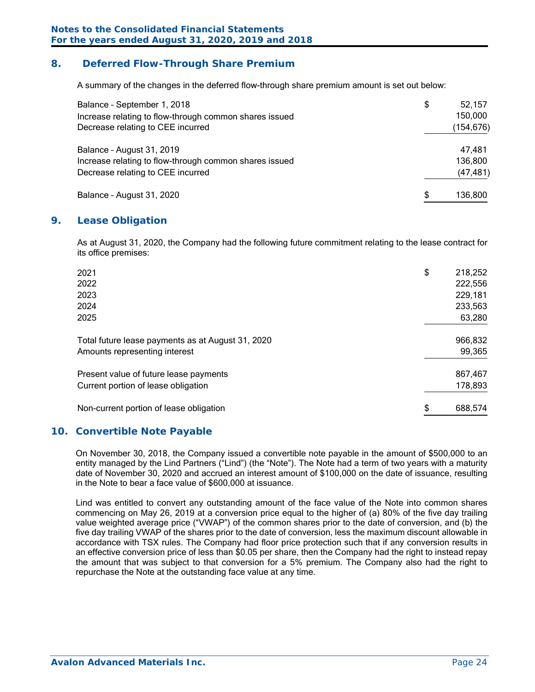# **8. Deferred Flow-Through Share Premium**

A summary of the changes in the deferred flow-through share premium amount is set out below:

| Balance - September 1, 2018<br>Increase relating to flow-through common shares issued<br>Decrease relating to CEE incurred | \$<br>52.157<br>150,000<br>(154, 676) |
|----------------------------------------------------------------------------------------------------------------------------|---------------------------------------|
| Balance - August 31, 2019<br>Increase relating to flow-through common shares issued<br>Decrease relating to CEE incurred   | 47,481<br>136,800<br>(47, 481)        |
| Balance - August 31, 2020                                                                                                  | 136,800                               |

# **9. Lease Obligation**

As at August 31, 2020, the Company had the following future commitment relating to the lease contract for its office premises:

| 2021                                              | \$<br>218,252 |
|---------------------------------------------------|---------------|
| 2022                                              | 222,556       |
| 2023                                              | 229,181       |
| 2024                                              | 233,563       |
| 2025                                              | 63,280        |
| Total future lease payments as at August 31, 2020 | 966,832       |
| Amounts representing interest                     | 99,365        |
| Present value of future lease payments            | 867,467       |
| Current portion of lease obligation               | 178,893       |
| Non-current portion of lease obligation           | \$<br>688,574 |

# **10. Convertible Note Payable**

On November 30, 2018, the Company issued a convertible note payable in the amount of \$500,000 to an entity managed by the Lind Partners ("Lind") (the "Note"). The Note had a term of two years with a maturity date of November 30, 2020 and accrued an interest amount of \$100,000 on the date of issuance, resulting in the Note to bear a face value of \$600,000 at issuance.

Lind was entitled to convert any outstanding amount of the face value of the Note into common shares commencing on May 26, 2019 at a conversion price equal to the higher of (a) 80% of the five day trailing value weighted average price ("VWAP") of the common shares prior to the date of conversion, and (b) the five day trailing VWAP of the shares prior to the date of conversion, less the maximum discount allowable in accordance with TSX rules. The Company had floor price protection such that if any conversion results in an effective conversion price of less than \$0.05 per share, then the Company had the right to instead repay the amount that was subject to that conversion for a 5% premium. The Company also had the right to repurchase the Note at the outstanding face value at any time.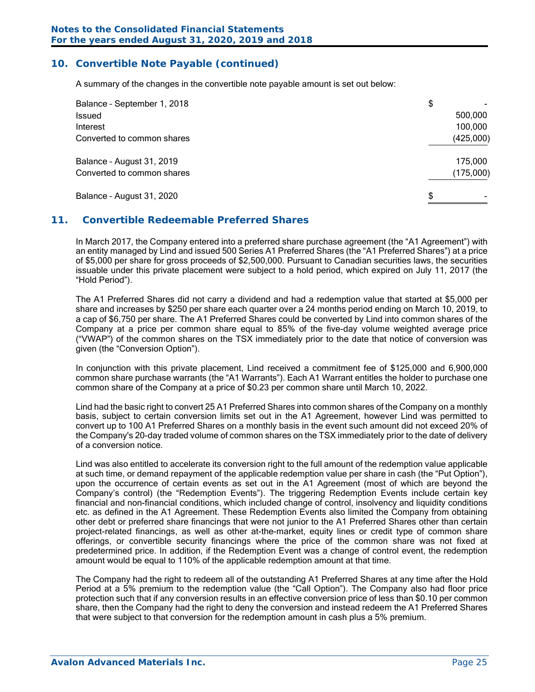## **10. Convertible Note Payable (continued)**

A summary of the changes in the convertible note payable amount is set out below:

| Balance - September 1, 2018 | \$        |
|-----------------------------|-----------|
| Issued                      | 500,000   |
| Interest                    | 100,000   |
| Converted to common shares  | (425,000) |
| Balance - August 31, 2019   | 175,000   |
| Converted to common shares  | (175,000) |
| Balance - August 31, 2020   | \$        |

## **11. Convertible Redeemable Preferred Shares**

In March 2017, the Company entered into a preferred share purchase agreement (the "A1 Agreement") with an entity managed by Lind and issued 500 Series A1 Preferred Shares (the "A1 Preferred Shares") at a price of \$5,000 per share for gross proceeds of \$2,500,000. Pursuant to Canadian securities laws, the securities issuable under this private placement were subject to a hold period, which expired on July 11, 2017 (the "Hold Period").

The A1 Preferred Shares did not carry a dividend and had a redemption value that started at \$5,000 per share and increases by \$250 per share each quarter over a 24 months period ending on March 10, 2019, to a cap of \$6,750 per share. The A1 Preferred Shares could be converted by Lind into common shares of the Company at a price per common share equal to 85% of the five-day volume weighted average price ("VWAP") of the common shares on the TSX immediately prior to the date that notice of conversion was given (the "Conversion Option").

In conjunction with this private placement, Lind received a commitment fee of \$125,000 and 6,900,000 common share purchase warrants (the "A1 Warrants"). Each A1 Warrant entitles the holder to purchase one common share of the Company at a price of \$0.23 per common share until March 10, 2022.

Lind had the basic right to convert 25 A1 Preferred Shares into common shares of the Company on a monthly basis, subject to certain conversion limits set out in the A1 Agreement, however Lind was permitted to convert up to 100 A1 Preferred Shares on a monthly basis in the event such amount did not exceed 20% of the Company's 20-day traded volume of common shares on the TSX immediately prior to the date of delivery of a conversion notice.

Lind was also entitled to accelerate its conversion right to the full amount of the redemption value applicable at such time, or demand repayment of the applicable redemption value per share in cash (the "Put Option"), upon the occurrence of certain events as set out in the A1 Agreement (most of which are beyond the Company's control) (the "Redemption Events"). The triggering Redemption Events include certain key financial and non-financial conditions, which included change of control, insolvency and liquidity conditions etc. as defined in the A1 Agreement. These Redemption Events also limited the Company from obtaining other debt or preferred share financings that were not junior to the A1 Preferred Shares other than certain project-related financings, as well as other at-the-market, equity lines or credit type of common share offerings, or convertible security financings where the price of the common share was not fixed at predetermined price. In addition, if the Redemption Event was a change of control event, the redemption amount would be equal to 110% of the applicable redemption amount at that time.

The Company had the right to redeem all of the outstanding A1 Preferred Shares at any time after the Hold Period at a 5% premium to the redemption value (the "Call Option"). The Company also had floor price protection such that if any conversion results in an effective conversion price of less than \$0.10 per common share, then the Company had the right to deny the conversion and instead redeem the A1 Preferred Shares that were subject to that conversion for the redemption amount in cash plus a 5% premium.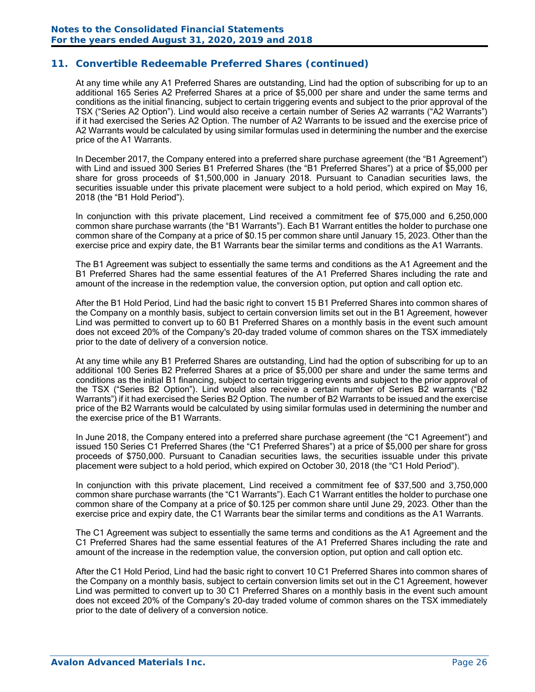# **11. Convertible Redeemable Preferred Shares (continued)**

At any time while any A1 Preferred Shares are outstanding, Lind had the option of subscribing for up to an additional 165 Series A2 Preferred Shares at a price of \$5,000 per share and under the same terms and conditions as the initial financing, subject to certain triggering events and subject to the prior approval of the TSX ("Series A2 Option"). Lind would also receive a certain number of Series A2 warrants ("A2 Warrants") if it had exercised the Series A2 Option. The number of A2 Warrants to be issued and the exercise price of A2 Warrants would be calculated by using similar formulas used in determining the number and the exercise price of the A1 Warrants.

In December 2017, the Company entered into a preferred share purchase agreement (the "B1 Agreement") with Lind and issued 300 Series B1 Preferred Shares (the "B1 Preferred Shares") at a price of \$5,000 per share for gross proceeds of \$1,500,000 in January 2018. Pursuant to Canadian securities laws, the securities issuable under this private placement were subject to a hold period, which expired on May 16, 2018 (the "B1 Hold Period").

In conjunction with this private placement, Lind received a commitment fee of \$75,000 and 6,250,000 common share purchase warrants (the "B1 Warrants"). Each B1 Warrant entitles the holder to purchase one common share of the Company at a price of \$0.15 per common share until January 15, 2023. Other than the exercise price and expiry date, the B1 Warrants bear the similar terms and conditions as the A1 Warrants.

The B1 Agreement was subject to essentially the same terms and conditions as the A1 Agreement and the B1 Preferred Shares had the same essential features of the A1 Preferred Shares including the rate and amount of the increase in the redemption value, the conversion option, put option and call option etc.

After the B1 Hold Period, Lind had the basic right to convert 15 B1 Preferred Shares into common shares of the Company on a monthly basis, subject to certain conversion limits set out in the B1 Agreement, however Lind was permitted to convert up to 60 B1 Preferred Shares on a monthly basis in the event such amount does not exceed 20% of the Company's 20-day traded volume of common shares on the TSX immediately prior to the date of delivery of a conversion notice.

At any time while any B1 Preferred Shares are outstanding, Lind had the option of subscribing for up to an additional 100 Series B2 Preferred Shares at a price of \$5,000 per share and under the same terms and conditions as the initial B1 financing, subject to certain triggering events and subject to the prior approval of the TSX ("Series B2 Option"). Lind would also receive a certain number of Series B2 warrants ("B2 Warrants") if it had exercised the Series B2 Option. The number of B2 Warrants to be issued and the exercise price of the B2 Warrants would be calculated by using similar formulas used in determining the number and the exercise price of the B1 Warrants.

In June 2018, the Company entered into a preferred share purchase agreement (the "C1 Agreement") and issued 150 Series C1 Preferred Shares (the "C1 Preferred Shares") at a price of \$5,000 per share for gross proceeds of \$750,000. Pursuant to Canadian securities laws, the securities issuable under this private placement were subject to a hold period, which expired on October 30, 2018 (the "C1 Hold Period").

In conjunction with this private placement, Lind received a commitment fee of \$37,500 and 3,750,000 common share purchase warrants (the "C1 Warrants"). Each C1 Warrant entitles the holder to purchase one common share of the Company at a price of \$0.125 per common share until June 29, 2023. Other than the exercise price and expiry date, the C1 Warrants bear the similar terms and conditions as the A1 Warrants.

The C1 Agreement was subject to essentially the same terms and conditions as the A1 Agreement and the C1 Preferred Shares had the same essential features of the A1 Preferred Shares including the rate and amount of the increase in the redemption value, the conversion option, put option and call option etc.

After the C1 Hold Period, Lind had the basic right to convert 10 C1 Preferred Shares into common shares of the Company on a monthly basis, subject to certain conversion limits set out in the C1 Agreement, however Lind was permitted to convert up to 30 C1 Preferred Shares on a monthly basis in the event such amount does not exceed 20% of the Company's 20-day traded volume of common shares on the TSX immediately prior to the date of delivery of a conversion notice.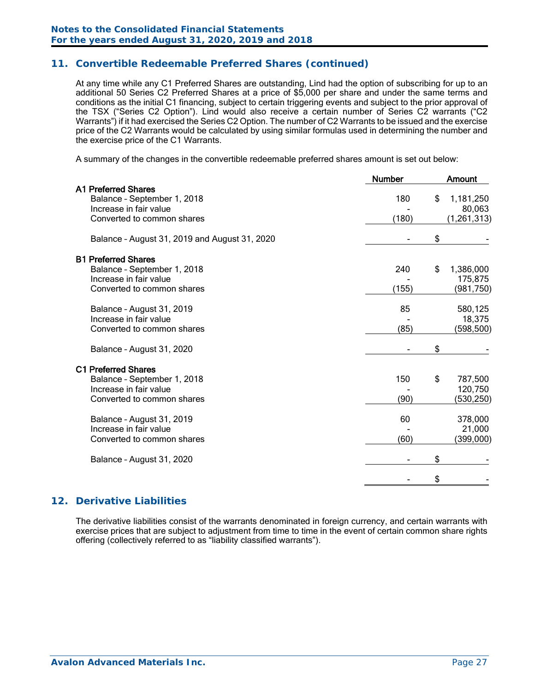# **11. Convertible Redeemable Preferred Shares (continued)**

At any time while any C1 Preferred Shares are outstanding, Lind had the option of subscribing for up to an additional 50 Series C2 Preferred Shares at a price of \$5,000 per share and under the same terms and conditions as the initial C1 financing, subject to certain triggering events and subject to the prior approval of the TSX ("Series C2 Option"). Lind would also receive a certain number of Series C2 warrants ("C2 Warrants") if it had exercised the Series C2 Option. The number of C2 Warrants to be issued and the exercise price of the C2 Warrants would be calculated by using similar formulas used in determining the number and the exercise price of the C1 Warrants.

A summary of the changes in the convertible redeemable preferred shares amount is set out below:

|                                               | <b>Number</b> | Amount          |
|-----------------------------------------------|---------------|-----------------|
| <b>A1 Preferred Shares</b>                    |               |                 |
| Balance - September 1, 2018                   | 180           | \$<br>1,181,250 |
| Increase in fair value                        |               | 80,063          |
| Converted to common shares                    | (180)         | (1, 261, 313)   |
| Balance - August 31, 2019 and August 31, 2020 |               | \$              |
| <b>B1 Preferred Shares</b>                    |               |                 |
| Balance - September 1, 2018                   | 240           | \$<br>1,386,000 |
| Increase in fair value                        |               | 175,875         |
| Converted to common shares                    | (155)         | (981, 750)      |
| Balance - August 31, 2019                     | 85            | 580,125         |
| Increase in fair value                        |               | 18,375          |
| Converted to common shares                    | (85)          | (598, 500)      |
| Balance - August 31, 2020                     |               | \$              |
| <b>C1 Preferred Shares</b>                    |               |                 |
| Balance - September 1, 2018                   | 150           | \$<br>787,500   |
| Increase in fair value                        |               | 120,750         |
| Converted to common shares                    | (90)          | (530, 250)      |
| Balance - August 31, 2019                     | 60            | 378,000         |
| Increase in fair value                        |               | 21,000          |
| Converted to common shares                    | (60)          | (399,000)       |
| Balance - August 31, 2020                     |               | \$              |
|                                               |               | \$              |

## **12. Derivative Liabilities**

The derivative liabilities consist of the warrants denominated in foreign currency, and certain warrants with exercise prices that are subject to adjustment from time to time in the event of certain common share rights offering (collectively referred to as "liability classified warrants").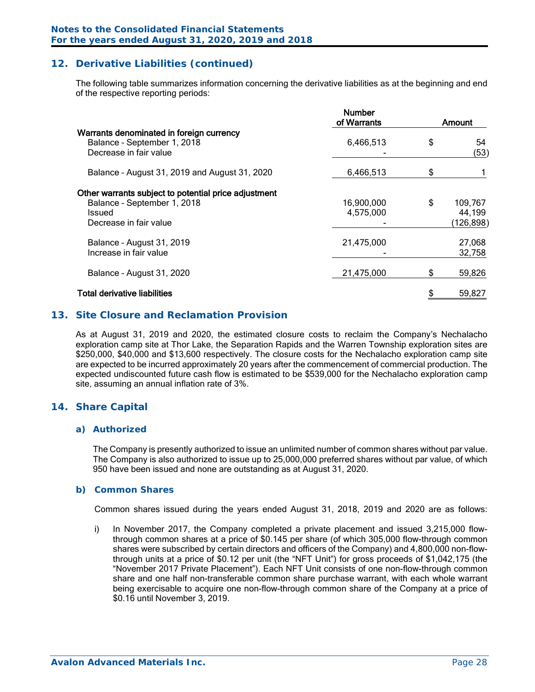# **12. Derivative Liabilities (continued)**

The following table summarizes information concerning the derivative liabilities as at the beginning and end of the respective reporting periods:

|                                                                                                                                | <b>Number</b><br>of Warrants |    | Amount                         |
|--------------------------------------------------------------------------------------------------------------------------------|------------------------------|----|--------------------------------|
| Warrants denominated in foreign currency<br>Balance - September 1, 2018<br>Decrease in fair value                              | 6,466,513                    | \$ | 54<br>(53)                     |
| Balance - August 31, 2019 and August 31, 2020                                                                                  | 6,466,513                    | \$ |                                |
| Other warrants subject to potential price adjustment<br>Balance - September 1, 2018<br><b>Issued</b><br>Decrease in fair value | 16,900,000<br>4,575,000      | \$ | 109,767<br>44,199<br>(126,898) |
| Balance - August 31, 2019<br>Increase in fair value                                                                            | 21,475,000                   |    | 27,068<br>32,758               |
| Balance - August 31, 2020                                                                                                      | 21,475,000                   | S  | 59,826                         |
| Total derivative liabilities                                                                                                   |                              |    | 59,827                         |

## **13. Site Closure and Reclamation Provision**

As at August 31, 2019 and 2020, the estimated closure costs to reclaim the Company's Nechalacho exploration camp site at Thor Lake, the Separation Rapids and the Warren Township exploration sites are \$250,000, \$40,000 and \$13,600 respectively. The closure costs for the Nechalacho exploration camp site are expected to be incurred approximately 20 years after the commencement of commercial production. The expected undiscounted future cash flow is estimated to be \$539,000 for the Nechalacho exploration camp site, assuming an annual inflation rate of 3%.

# **14. Share Capital**

#### *a) Authorized*

The Company is presently authorized to issue an unlimited number of common shares without par value. The Company is also authorized to issue up to 25,000,000 preferred shares without par value, of which 950 have been issued and none are outstanding as at August 31, 2020.

#### *b) Common Shares*

Common shares issued during the years ended August 31, 2018, 2019 and 2020 are as follows:

i) In November 2017, the Company completed a private placement and issued 3,215,000 flowthrough common shares at a price of \$0.145 per share (of which 305,000 flow-through common shares were subscribed by certain directors and officers of the Company) and 4,800,000 non-flowthrough units at a price of \$0.12 per unit (the "NFT Unit") for gross proceeds of \$1,042,175 (the "November 2017 Private Placement"). Each NFT Unit consists of one non-flow-through common share and one half non-transferable common share purchase warrant, with each whole warrant being exercisable to acquire one non-flow-through common share of the Company at a price of \$0.16 until November 3, 2019.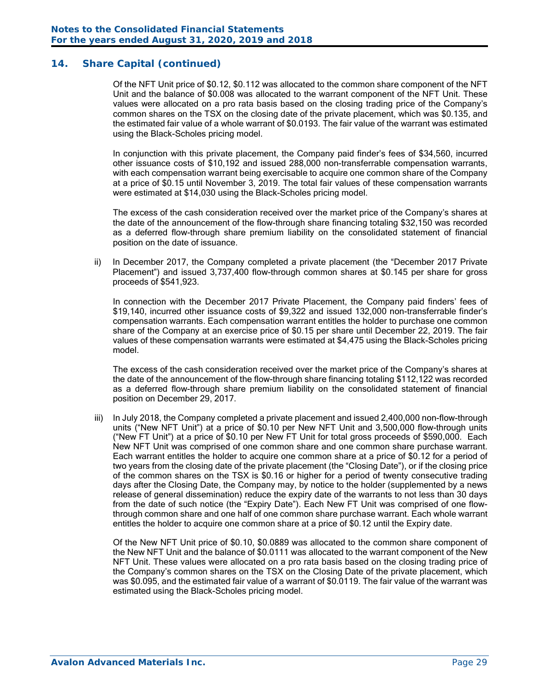Of the NFT Unit price of \$0.12, \$0.112 was allocated to the common share component of the NFT Unit and the balance of \$0.008 was allocated to the warrant component of the NFT Unit. These values were allocated on a pro rata basis based on the closing trading price of the Company's common shares on the TSX on the closing date of the private placement, which was \$0.135, and the estimated fair value of a whole warrant of \$0.0193. The fair value of the warrant was estimated using the Black-Scholes pricing model.

In conjunction with this private placement, the Company paid finder's fees of \$34,560, incurred other issuance costs of \$10,192 and issued 288,000 non-transferrable compensation warrants, with each compensation warrant being exercisable to acquire one common share of the Company at a price of \$0.15 until November 3, 2019. The total fair values of these compensation warrants were estimated at \$14,030 using the Black-Scholes pricing model.

The excess of the cash consideration received over the market price of the Company's shares at the date of the announcement of the flow-through share financing totaling \$32,150 was recorded as a deferred flow-through share premium liability on the consolidated statement of financial position on the date of issuance.

ii) In December 2017, the Company completed a private placement (the "December 2017 Private Placement") and issued 3,737,400 flow-through common shares at \$0.145 per share for gross proceeds of \$541,923.

In connection with the December 2017 Private Placement, the Company paid finders' fees of \$19,140, incurred other issuance costs of \$9,322 and issued 132,000 non-transferrable finder's compensation warrants. Each compensation warrant entitles the holder to purchase one common share of the Company at an exercise price of \$0.15 per share until December 22, 2019. The fair values of these compensation warrants were estimated at \$4,475 using the Black-Scholes pricing model.

The excess of the cash consideration received over the market price of the Company's shares at the date of the announcement of the flow-through share financing totaling \$112,122 was recorded as a deferred flow-through share premium liability on the consolidated statement of financial position on December 29, 2017.

iii) In July 2018, the Company completed a private placement and issued 2,400,000 non-flow-through units ("New NFT Unit") at a price of \$0.10 per New NFT Unit and 3,500,000 flow-through units ("New FT Unit") at a price of \$0.10 per New FT Unit for total gross proceeds of \$590,000. Each New NFT Unit was comprised of one common share and one common share purchase warrant. Each warrant entitles the holder to acquire one common share at a price of \$0.12 for a period of two years from the closing date of the private placement (the "Closing Date"), or if the closing price of the common shares on the TSX is \$0.16 or higher for a period of twenty consecutive trading days after the Closing Date, the Company may, by notice to the holder (supplemented by a news release of general dissemination) reduce the expiry date of the warrants to not less than 30 days from the date of such notice (the "Expiry Date"). Each New FT Unit was comprised of one flowthrough common share and one half of one common share purchase warrant. Each whole warrant entitles the holder to acquire one common share at a price of \$0.12 until the Expiry date.

Of the New NFT Unit price of \$0.10, \$0.0889 was allocated to the common share component of the New NFT Unit and the balance of \$0.0111 was allocated to the warrant component of the New NFT Unit. These values were allocated on a pro rata basis based on the closing trading price of the Company's common shares on the TSX on the Closing Date of the private placement, which was \$0.095, and the estimated fair value of a warrant of \$0.0119. The fair value of the warrant was estimated using the Black-Scholes pricing model.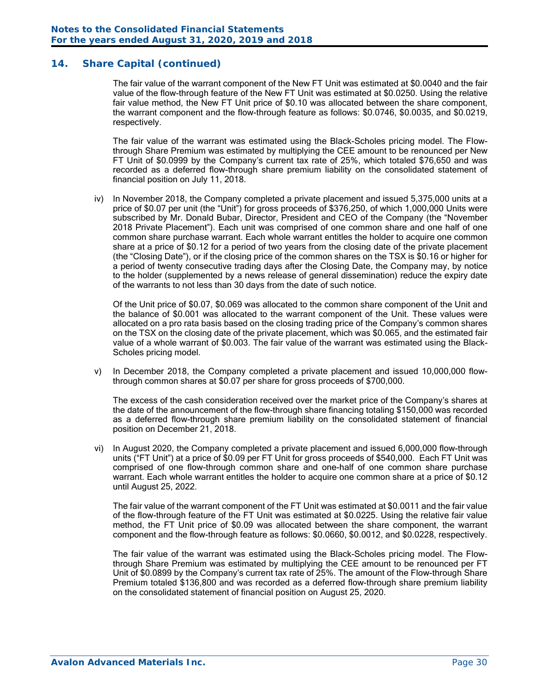The fair value of the warrant component of the New FT Unit was estimated at \$0.0040 and the fair value of the flow-through feature of the New FT Unit was estimated at \$0.0250. Using the relative fair value method, the New FT Unit price of \$0.10 was allocated between the share component, the warrant component and the flow-through feature as follows: \$0.0746, \$0.0035, and \$0.0219, respectively.

The fair value of the warrant was estimated using the Black-Scholes pricing model. The Flowthrough Share Premium was estimated by multiplying the CEE amount to be renounced per New FT Unit of \$0.0999 by the Company's current tax rate of 25%, which totaled \$76,650 and was recorded as a deferred flow-through share premium liability on the consolidated statement of financial position on July 11, 2018.

iv) In November 2018, the Company completed a private placement and issued 5,375,000 units at a price of \$0.07 per unit (the "Unit") for gross proceeds of \$376,250, of which 1,000,000 Units were subscribed by Mr. Donald Bubar, Director, President and CEO of the Company (the "November 2018 Private Placement"). Each unit was comprised of one common share and one half of one common share purchase warrant. Each whole warrant entitles the holder to acquire one common share at a price of \$0.12 for a period of two years from the closing date of the private placement (the "Closing Date"), or if the closing price of the common shares on the TSX is \$0.16 or higher for a period of twenty consecutive trading days after the Closing Date, the Company may, by notice to the holder (supplemented by a news release of general dissemination) reduce the expiry date of the warrants to not less than 30 days from the date of such notice.

Of the Unit price of \$0.07, \$0.069 was allocated to the common share component of the Unit and the balance of \$0.001 was allocated to the warrant component of the Unit. These values were allocated on a pro rata basis based on the closing trading price of the Company's common shares on the TSX on the closing date of the private placement, which was \$0.065, and the estimated fair value of a whole warrant of \$0.003. The fair value of the warrant was estimated using the Black-Scholes pricing model.

v) In December 2018, the Company completed a private placement and issued 10,000,000 flowthrough common shares at \$0.07 per share for gross proceeds of \$700,000.

The excess of the cash consideration received over the market price of the Company's shares at the date of the announcement of the flow-through share financing totaling \$150,000 was recorded as a deferred flow-through share premium liability on the consolidated statement of financial position on December 21, 2018.

vi) In August 2020, the Company completed a private placement and issued 6,000,000 flow-through units ("FT Unit") at a price of \$0.09 per FT Unit for gross proceeds of \$540,000. Each FT Unit was comprised of one flow-through common share and one-half of one common share purchase warrant. Each whole warrant entitles the holder to acquire one common share at a price of \$0.12 until August 25, 2022.

The fair value of the warrant component of the FT Unit was estimated at \$0.0011 and the fair value of the flow-through feature of the FT Unit was estimated at \$0.0225. Using the relative fair value method, the FT Unit price of \$0.09 was allocated between the share component, the warrant component and the flow-through feature as follows: \$0.0660, \$0.0012, and \$0.0228, respectively.

The fair value of the warrant was estimated using the Black-Scholes pricing model. The Flowthrough Share Premium was estimated by multiplying the CEE amount to be renounced per FT Unit of \$0.0899 by the Company's current tax rate of 25%. The amount of the Flow-through Share Premium totaled \$136,800 and was recorded as a deferred flow-through share premium liability on the consolidated statement of financial position on August 25, 2020.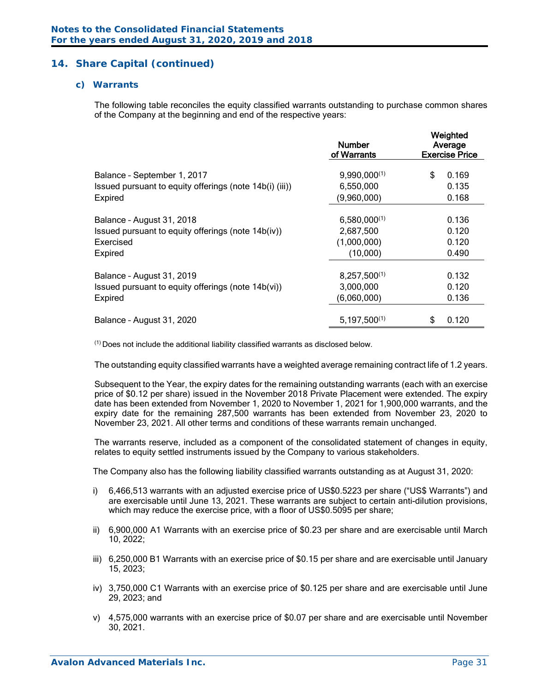### *c) Warrants*

The following table reconciles the equity classified warrants outstanding to purchase common shares of the Company at the beginning and end of the respective years:

| $9,990,000^{(1)}$<br>0.169<br>\$<br>Balance - September 1, 2017<br>0.135<br>6,550,000<br>Issued pursuant to equity offerings (note 14b(i) (iii))<br>(9,960,000)<br>0.168<br>Expired<br>$6,580,000^{(1)}$<br>0.136<br>Balance - August 31, 2018<br>0.120<br>2,687,500<br>Issued pursuant to equity offerings (note 14b(iv))<br>0.120<br>(1,000,000)<br>Exercised<br>(10,000)<br>0.490<br>Expired<br>$8,257,500^{(1)}$<br>0.132<br>Balance - August 31, 2019<br>0.120<br>3,000,000<br>Issued pursuant to equity offerings (note 14b(vi))<br>(6,060,000)<br>0.136<br>Expired |                           | <b>Number</b><br>of Warrants | Weighted<br>Average<br><b>Exercise Price</b> |
|---------------------------------------------------------------------------------------------------------------------------------------------------------------------------------------------------------------------------------------------------------------------------------------------------------------------------------------------------------------------------------------------------------------------------------------------------------------------------------------------------------------------------------------------------------------------------|---------------------------|------------------------------|----------------------------------------------|
|                                                                                                                                                                                                                                                                                                                                                                                                                                                                                                                                                                           |                           |                              |                                              |
|                                                                                                                                                                                                                                                                                                                                                                                                                                                                                                                                                                           |                           |                              |                                              |
|                                                                                                                                                                                                                                                                                                                                                                                                                                                                                                                                                                           |                           |                              |                                              |
|                                                                                                                                                                                                                                                                                                                                                                                                                                                                                                                                                                           |                           |                              |                                              |
|                                                                                                                                                                                                                                                                                                                                                                                                                                                                                                                                                                           |                           |                              |                                              |
|                                                                                                                                                                                                                                                                                                                                                                                                                                                                                                                                                                           |                           |                              |                                              |
|                                                                                                                                                                                                                                                                                                                                                                                                                                                                                                                                                                           |                           |                              |                                              |
|                                                                                                                                                                                                                                                                                                                                                                                                                                                                                                                                                                           |                           |                              |                                              |
|                                                                                                                                                                                                                                                                                                                                                                                                                                                                                                                                                                           |                           |                              |                                              |
|                                                                                                                                                                                                                                                                                                                                                                                                                                                                                                                                                                           |                           |                              |                                              |
|                                                                                                                                                                                                                                                                                                                                                                                                                                                                                                                                                                           |                           |                              |                                              |
|                                                                                                                                                                                                                                                                                                                                                                                                                                                                                                                                                                           | Balance - August 31, 2020 | $5,197,500^{(1)}$            | \$<br>0.120                                  |

(1) Does not include the additional liability classified warrants as disclosed below.

The outstanding equity classified warrants have a weighted average remaining contract life of 1.2 years.

Subsequent to the Year, the expiry dates for the remaining outstanding warrants (each with an exercise price of \$0.12 per share) issued in the November 2018 Private Placement were extended. The expiry date has been extended from November 1, 2020 to November 1, 2021 for 1,900,000 warrants, and the expiry date for the remaining 287,500 warrants has been extended from November 23, 2020 to November 23, 2021. All other terms and conditions of these warrants remain unchanged.

The warrants reserve, included as a component of the consolidated statement of changes in equity, relates to equity settled instruments issued by the Company to various stakeholders.

The Company also has the following liability classified warrants outstanding as at August 31, 2020:

- i) 6,466,513 warrants with an adjusted exercise price of US\$0.5223 per share ("US\$ Warrants") and are exercisable until June 13, 2021. These warrants are subject to certain anti-dilution provisions, which may reduce the exercise price, with a floor of US\$0.5095 per share;
- ii) 6,900,000 A1 Warrants with an exercise price of \$0.23 per share and are exercisable until March 10, 2022;
- iii) 6,250,000 B1 Warrants with an exercise price of \$0.15 per share and are exercisable until January 15, 2023;
- iv) 3,750,000 C1 Warrants with an exercise price of \$0.125 per share and are exercisable until June 29, 2023; and
- v) 4,575,000 warrants with an exercise price of \$0.07 per share and are exercisable until November 30, 2021.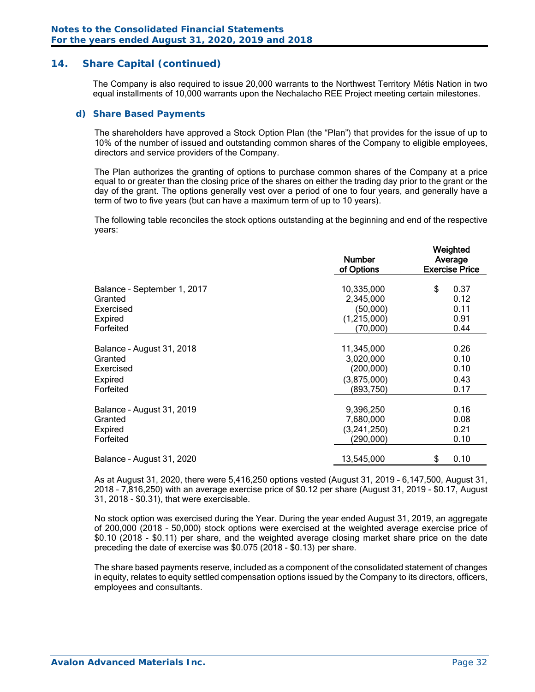The Company is also required to issue 20,000 warrants to the Northwest Territory Métis Nation in two equal installments of 10,000 warrants upon the Nechalacho REE Project meeting certain milestones.

#### *d) Share Based Payments*

The shareholders have approved a Stock Option Plan (the "Plan") that provides for the issue of up to 10% of the number of issued and outstanding common shares of the Company to eligible employees, directors and service providers of the Company.

The Plan authorizes the granting of options to purchase common shares of the Company at a price equal to or greater than the closing price of the shares on either the trading day prior to the grant or the day of the grant. The options generally vest over a period of one to four years, and generally have a term of two to five years (but can have a maximum term of up to 10 years).

The following table reconciles the stock options outstanding at the beginning and end of the respective years:

|                             | <b>Number</b><br>of Options | Weighted<br>Average<br><b>Exercise Price</b> |
|-----------------------------|-----------------------------|----------------------------------------------|
| Balance - September 1, 2017 | 10,335,000                  | \$<br>0.37                                   |
| Granted                     | 2,345,000                   | 0.12                                         |
| Exercised                   | (50,000)                    | 0.11                                         |
| Expired                     | (1,215,000)                 | 0.91                                         |
| Forfeited                   | (70,000)                    | 0.44                                         |
| Balance - August 31, 2018   | 11,345,000                  | 0.26                                         |
| Granted                     | 3,020,000                   | 0.10                                         |
| Exercised                   | (200,000)                   | 0.10                                         |
| Expired                     | (3,875,000)                 | 0.43                                         |
| Forfeited                   | (893,750)                   | 0.17                                         |
| Balance - August 31, 2019   | 9,396,250                   | 0.16                                         |
| Granted                     | 7,680,000                   | 0.08                                         |
| Expired                     | (3,241,250)                 | 0.21                                         |
| Forfeited                   | (290,000)                   | 0.10                                         |
|                             |                             | 0.10                                         |
| Balance - August 31, 2020   | 13,545,000                  | \$                                           |

As at August 31, 2020, there were 5,416,250 options vested (August 31, 2019 – 6,147,500, August 31, 2018 – 7,816,250) with an average exercise price of \$0.12 per share (August 31, 2019 - \$0.17, August 31, 2018 - \$0.31), that were exercisable.

No stock option was exercised during the Year. During the year ended August 31, 2019, an aggregate of 200,000 (2018 – 50,000) stock options were exercised at the weighted average exercise price of \$0.10 (2018 - \$0.11) per share, and the weighted average closing market share price on the date preceding the date of exercise was \$0.075 (2018 - \$0.13) per share.

The share based payments reserve, included as a component of the consolidated statement of changes in equity, relates to equity settled compensation options issued by the Company to its directors, officers, employees and consultants.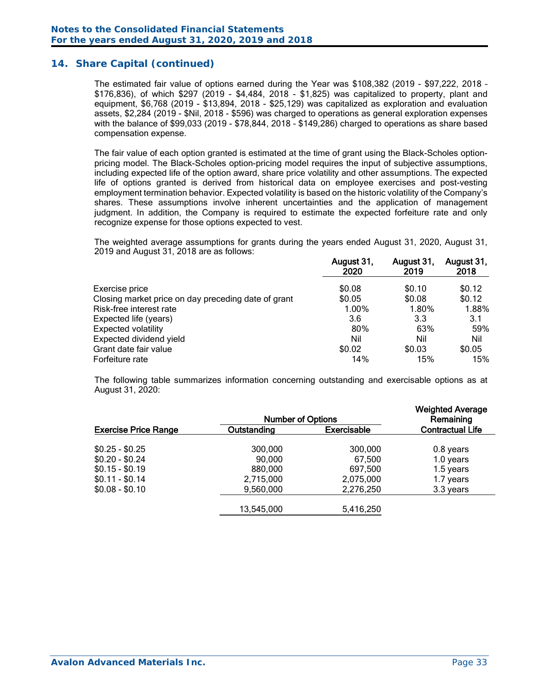The estimated fair value of options earned during the Year was \$108,382 (2019 - \$97,222, 2018 – \$176,836), of which \$297 (2019 - \$4,484, 2018 - \$1,825) was capitalized to property, plant and equipment, \$6,768 (2019 - \$13,894, 2018 - \$25,129) was capitalized as exploration and evaluation assets, \$2,284 (2019 - \$Nil, 2018 - \$596) was charged to operations as general exploration expenses with the balance of \$99,033 (2019 - \$78,844, 2018 – \$149,286) charged to operations as share based compensation expense.

The fair value of each option granted is estimated at the time of grant using the Black-Scholes optionpricing model. The Black-Scholes option-pricing model requires the input of subjective assumptions, including expected life of the option award, share price volatility and other assumptions. The expected life of options granted is derived from historical data on employee exercises and post-vesting employment termination behavior. Expected volatility is based on the historic volatility of the Company's shares. These assumptions involve inherent uncertainties and the application of management judgment. In addition, the Company is required to estimate the expected forfeiture rate and only recognize expense for those options expected to vest.

The weighted average assumptions for grants during the years ended August 31, 2020, August 31, 2019 and August 31, 2018 are as follows:

|                                                     | August 31,<br>2020 | August 31,<br>2019 | August 31,<br>2018 |
|-----------------------------------------------------|--------------------|--------------------|--------------------|
| Exercise price                                      | \$0.08             | \$0.10             | \$0.12             |
| Closing market price on day preceding date of grant | \$0.05             | \$0.08             | \$0.12             |
| Risk-free interest rate                             | 1.00%              | 1.80%              | 1.88%              |
| Expected life (years)                               | 3.6                | 3.3                | 3.1                |
| <b>Expected volatility</b>                          | 80%                | 63%                | 59%                |
| Expected dividend yield                             | Nil                | Nil                | Nil                |
| Grant date fair value                               | \$0.02             | \$0.03             | \$0.05             |
| Forfeiture rate                                     | 14%                | 15%                | 15%                |
|                                                     |                    |                    |                    |

The following table summarizes information concerning outstanding and exercisable options as at August 31, 2020:

|                             | <b>Number of Options</b> |                    | <b>Weighted Average</b><br>Remaining |
|-----------------------------|--------------------------|--------------------|--------------------------------------|
| <b>Exercise Price Range</b> | Outstanding              | <b>Exercisable</b> | <b>Contractual Life</b>              |
| $$0.25 - $0.25$             | 300,000                  | 300,000            | 0.8 years                            |
| $$0.20 - $0.24$             | 90,000                   | 67,500             | 1.0 years                            |
| $$0.15 - $0.19$             | 880,000                  | 697,500            | 1.5 years                            |
| $$0.11 - $0.14$             | 2,715,000                | 2,075,000          | 1.7 years                            |
| $$0.08 - $0.10$             | 9,560,000                | 2,276,250          | 3.3 years                            |
|                             | 13,545,000               | 5,416,250          |                                      |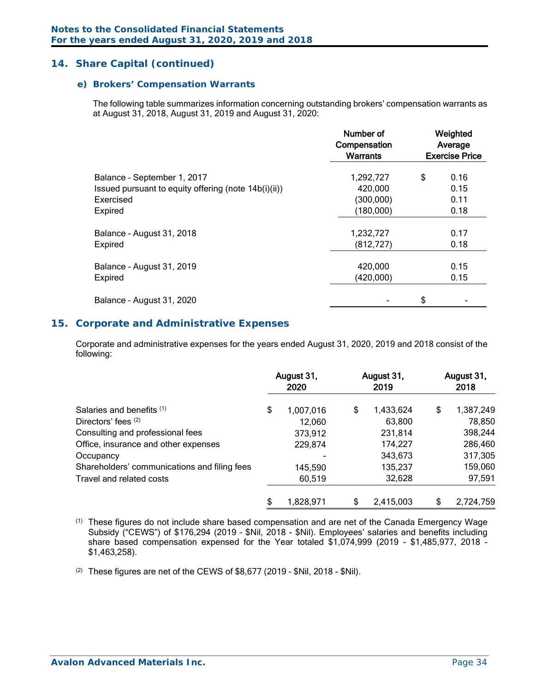### *e) Brokers' Compensation Warrants*

The following table summarizes information concerning outstanding brokers' compensation warrants as at August 31, 2018, August 31, 2019 and August 31, 2020:

|                                                                                                             | Number of<br>Compensation<br><b>Warrants</b>   | Weighted<br>Average<br><b>Exercise Price</b> |
|-------------------------------------------------------------------------------------------------------------|------------------------------------------------|----------------------------------------------|
| Balance - September 1, 2017<br>Issued pursuant to equity offering (note 14b(i)(ii))<br>Exercised<br>Expired | 1,292,727<br>420,000<br>(300,000)<br>(180,000) | \$<br>0.16<br>0.15<br>0.11<br>0.18           |
| Balance - August 31, 2018<br>Expired                                                                        | 1,232,727<br>(812, 727)                        | 0.17<br>0.18                                 |
| Balance - August 31, 2019<br>Expired                                                                        | 420,000<br>(420,000)                           | 0.15<br>0.15                                 |
| Balance - August 31, 2020                                                                                   |                                                | \$                                           |

## **15. Corporate and Administrative Expenses**

Corporate and administrative expenses for the years ended August 31, 2020, 2019 and 2018 consist of the following:

|                                              | August 31,<br>2020 | August 31,<br>2019 | August 31,<br>2018 |           |
|----------------------------------------------|--------------------|--------------------|--------------------|-----------|
| Salaries and benefits (1)                    | \$<br>1,007,016    | \$<br>1,433,624    | \$                 | 1,387,249 |
| Directors' fees (2)                          | 12,060             | 63,800             |                    | 78,850    |
| Consulting and professional fees             | 373,912            | 231,814            |                    | 398,244   |
| Office, insurance and other expenses         | 229,874            | 174,227            |                    | 286,460   |
| Occupancy                                    |                    | 343,673            |                    | 317,305   |
| Shareholders' communications and filing fees | 145,590            | 135,237            |                    | 159,060   |
| Travel and related costs                     | 60,519             | 32,628             |                    | 97,591    |
|                                              | \$<br>1,828,971    | \$<br>2,415,003    | \$                 | 2,724,759 |

(1) These figures do not include share based compensation and are net of the Canada Emergency Wage Subsidy ("CEWS") of \$176,294 (2019 – \$Nil, 2018 - \$Nil). Employees' salaries and benefits including share based compensation expensed for the Year totaled \$1,074,999 (2019 - \$1,485,977, 2018 - \$1,463,258).

(2) These figures are net of the CEWS of \$8,677 (2019 – \$Nil, 2018 - \$Nil).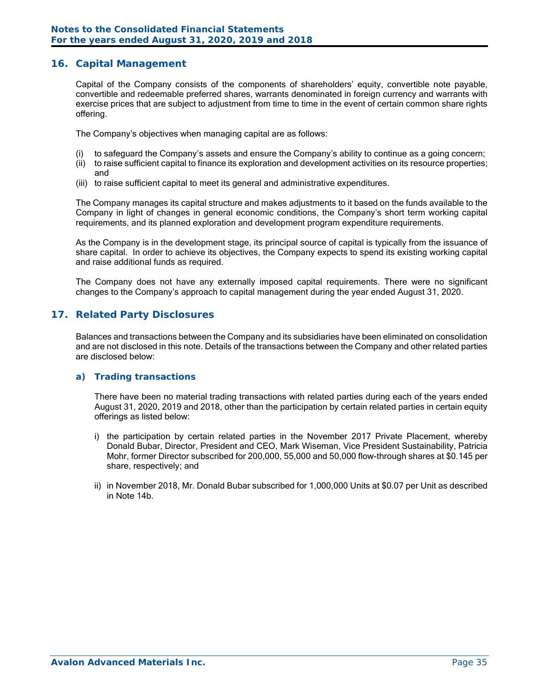## **16. Capital Management**

Capital of the Company consists of the components of shareholders' equity, convertible note payable, convertible and redeemable preferred shares, warrants denominated in foreign currency and warrants with exercise prices that are subject to adjustment from time to time in the event of certain common share rights offering.

The Company's objectives when managing capital are as follows:

- to safeguard the Company's assets and ensure the Company's ability to continue as a going concern;
- (ii) to raise sufficient capital to finance its exploration and development activities on its resource properties; and
- (iii) to raise sufficient capital to meet its general and administrative expenditures.

The Company manages its capital structure and makes adjustments to it based on the funds available to the Company in light of changes in general economic conditions, the Company's short term working capital requirements, and its planned exploration and development program expenditure requirements.

As the Company is in the development stage, its principal source of capital is typically from the issuance of share capital. In order to achieve its objectives, the Company expects to spend its existing working capital and raise additional funds as required.

The Company does not have any externally imposed capital requirements. There were no significant changes to the Company's approach to capital management during the year ended August 31, 2020.

## **17. Related Party Disclosures**

Balances and transactions between the Company and its subsidiaries have been eliminated on consolidation and are not disclosed in this note. Details of the transactions between the Company and other related parties are disclosed below:

#### *a) Trading transactions*

There have been no material trading transactions with related parties during each of the years ended August 31, 2020, 2019 and 2018, other than the participation by certain related parties in certain equity offerings as listed below:

- i) the participation by certain related parties in the November 2017 Private Placement, whereby Donald Bubar, Director, President and CEO, Mark Wiseman, Vice President Sustainability, Patricia Mohr, former Director subscribed for 200,000, 55,000 and 50,000 flow-through shares at \$0.145 per share, respectively; and
- ii) in November 2018, Mr. Donald Bubar subscribed for 1,000,000 Units at \$0.07 per Unit as described in Note 14b.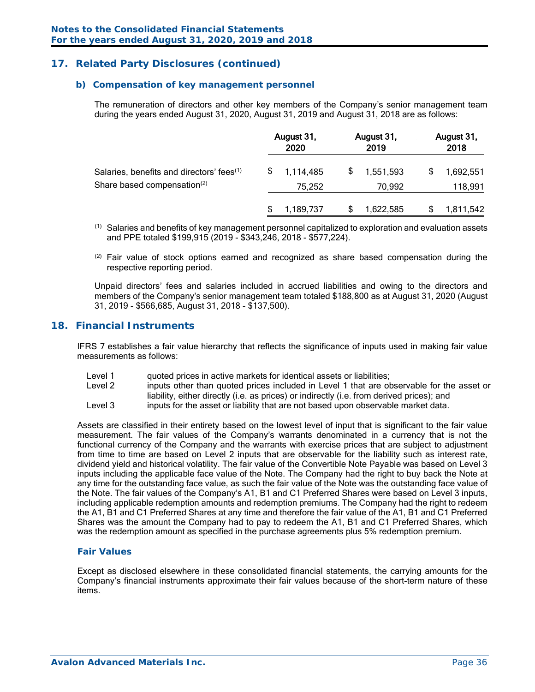# **17. Related Party Disclosures (continued)**

### *b) Compensation of key management personnel*

The remuneration of directors and other key members of the Company's senior management team during the years ended August 31, 2020, August 31, 2019 and August 31, 2018 are as follows:

|                                                       | August 31,<br>2020 | August 31,<br>2019 | August 31,<br>2018 |
|-------------------------------------------------------|--------------------|--------------------|--------------------|
| Salaries, benefits and directors' fees <sup>(1)</sup> | 1,114,485          | \$<br>1,551,593    | \$<br>1,692,551    |
| Share based compensation <sup>(2)</sup>               | 75.252             | 70,992             | 118,991            |
|                                                       | 1,189,737          | 1,622,585          | 1,811,542          |

- $<sup>(1)</sup>$  Salaries and benefits of key management personnel capitalized to exploration and evaluation assets</sup> and PPE totaled \$199,915 (2019 - \$343,246, 2018 - \$577,224).
- $(2)$  Fair value of stock options earned and recognized as share based compensation during the respective reporting period.

Unpaid directors' fees and salaries included in accrued liabilities and owing to the directors and members of the Company's senior management team totaled \$188,800 as at August 31, 2020 (August 31, 2019 - \$566,685, August 31, 2018 - \$137,500).

## **18. Financial Instruments**

IFRS 7 establishes a fair value hierarchy that reflects the significance of inputs used in making fair value measurements as follows:

- Level 1 details and prices in active markets for identical assets or liabilities;<br>Level 2 details on the retain quoted prices included in Level 1 that are ob
- inputs other than quoted prices included in Level 1 that are observable for the asset or liability, either directly (i.e. as prices) or indirectly (i.e. from derived prices); and
- Level 3 inputs for the asset or liability that are not based upon observable market data.

Assets are classified in their entirety based on the lowest level of input that is significant to the fair value measurement. The fair values of the Company's warrants denominated in a currency that is not the functional currency of the Company and the warrants with exercise prices that are subject to adjustment from time to time are based on Level 2 inputs that are observable for the liability such as interest rate, dividend yield and historical volatility. The fair value of the Convertible Note Payable was based on Level 3 inputs including the applicable face value of the Note. The Company had the right to buy back the Note at any time for the outstanding face value, as such the fair value of the Note was the outstanding face value of the Note. The fair values of the Company's A1, B1 and C1 Preferred Shares were based on Level 3 inputs, including applicable redemption amounts and redemption premiums. The Company had the right to redeem the A1, B1 and C1 Preferred Shares at any time and therefore the fair value of the A1, B1 and C1 Preferred Shares was the amount the Company had to pay to redeem the A1, B1 and C1 Preferred Shares, which was the redemption amount as specified in the purchase agreements plus 5% redemption premium.

#### *Fair Values*

Except as disclosed elsewhere in these consolidated financial statements, the carrying amounts for the Company's financial instruments approximate their fair values because of the short-term nature of these items.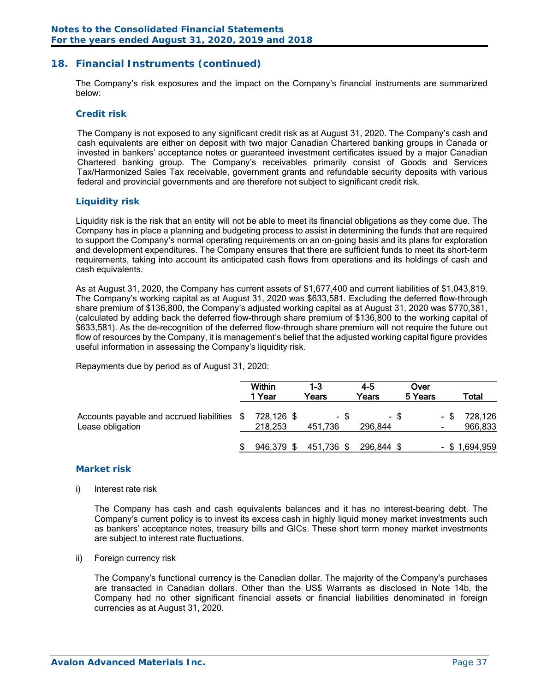## **18. Financial Instruments (continued)**

The Company's risk exposures and the impact on the Company's financial instruments are summarized below:

#### *Credit risk*

The Company is not exposed to any significant credit risk as at August 31, 2020. The Company's cash and cash equivalents are either on deposit with two major Canadian Chartered banking groups in Canada or invested in bankers' acceptance notes or guaranteed investment certificates issued by a major Canadian Chartered banking group. The Company's receivables primarily consist of Goods and Services Tax/Harmonized Sales Tax receivable, government grants and refundable security deposits with various federal and provincial governments and are therefore not subject to significant credit risk.

#### *Liquidity risk*

Liquidity risk is the risk that an entity will not be able to meet its financial obligations as they come due. The Company has in place a planning and budgeting process to assist in determining the funds that are required to support the Company's normal operating requirements on an on-going basis and its plans for exploration and development expenditures. The Company ensures that there are sufficient funds to meet its short-term requirements, taking into account its anticipated cash flows from operations and its holdings of cash and cash equivalents.

As at August 31, 2020, the Company has current assets of \$1,677,400 and current liabilities of \$1,043,819. The Company's working capital as at August 31, 2020 was \$633,581. Excluding the deferred flow-through share premium of \$136,800, the Company's adjusted working capital as at August 31, 2020 was \$770,381, (calculated by adding back the deferred flow-through share premium of \$136,800 to the working capital of \$633,581). As the de-recognition of the deferred flow-through share premium will not require the future out flow of resources by the Company, it is management's belief that the adjusted working capital figure provides useful information in assessing the Company's liquidity risk.

Repayments due by period as of August 31, 2020:

|                                                                 | Within<br>1 Year      | 1-3<br>Years    | $4 - 5$<br>Years | Over<br>5 Years | Total              |
|-----------------------------------------------------------------|-----------------------|-----------------|------------------|-----------------|--------------------|
| Accounts payable and accrued liabilities \$<br>Lease obligation | 728,126 \$<br>218,253 | - \$<br>451.736 | - \$<br>296,844  |                 | 728,126<br>966,833 |
|                                                                 | 946,379 \$            | 451,736 \$      | 296,844 \$       |                 | $-$ \$ 1,694,959   |

#### *Market risk*

i) Interest rate risk

The Company has cash and cash equivalents balances and it has no interest-bearing debt. The Company's current policy is to invest its excess cash in highly liquid money market investments such as bankers' acceptance notes, treasury bills and GICs. These short term money market investments are subject to interest rate fluctuations.

ii) Foreign currency risk

The Company's functional currency is the Canadian dollar. The majority of the Company's purchases are transacted in Canadian dollars. Other than the US\$ Warrants as disclosed in Note 14b, the Company had no other significant financial assets or financial liabilities denominated in foreign currencies as at August 31, 2020.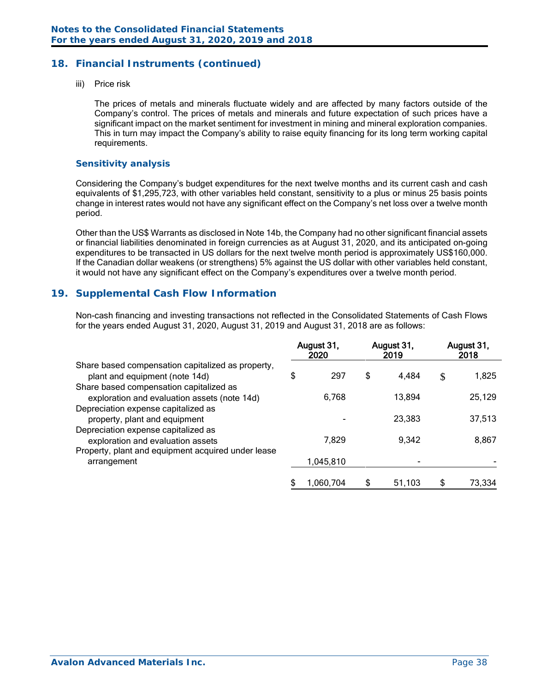# **18. Financial Instruments (continued)**

iii) Price risk

The prices of metals and minerals fluctuate widely and are affected by many factors outside of the Company's control. The prices of metals and minerals and future expectation of such prices have a significant impact on the market sentiment for investment in mining and mineral exploration companies. This in turn may impact the Company's ability to raise equity financing for its long term working capital requirements.

### *Sensitivity analysis*

Considering the Company's budget expenditures for the next twelve months and its current cash and cash equivalents of \$1,295,723, with other variables held constant, sensitivity to a plus or minus 25 basis points change in interest rates would not have any significant effect on the Company's net loss over a twelve month period.

Other than the US\$ Warrants as disclosed in Note 14b, the Company had no other significant financial assets or financial liabilities denominated in foreign currencies as at August 31, 2020, and its anticipated on-going expenditures to be transacted in US dollars for the next twelve month period is approximately US\$160,000. If the Canadian dollar weakens (or strengthens) 5% against the US dollar with other variables held constant, it would not have any significant effect on the Company's expenditures over a twelve month period.

# **19. Supplemental Cash Flow Information**

Non-cash financing and investing transactions not reflected in the Consolidated Statements of Cash Flows for the years ended August 31, 2020, August 31, 2019 and August 31, 2018 are as follows:

|                                                                                     | August 31,<br>2020 | August 31,<br>2019 | August 31,<br>2018 |
|-------------------------------------------------------------------------------------|--------------------|--------------------|--------------------|
| Share based compensation capitalized as property,<br>plant and equipment (note 14d) | \$<br>297          | \$<br>4,484        | \$<br>1,825        |
| Share based compensation capitalized as                                             |                    |                    |                    |
| exploration and evaluation assets (note 14d)<br>Depreciation expense capitalized as | 6,768              | 13,894             | 25,129             |
| property, plant and equipment                                                       |                    | 23,383             | 37,513             |
| Depreciation expense capitalized as<br>exploration and evaluation assets            | 7,829              | 9.342              | 8,867              |
| Property, plant and equipment acquired under lease<br>arrangement                   | 1,045,810          |                    |                    |
|                                                                                     | 1,060,704          | \$<br>51,103       | 73,334             |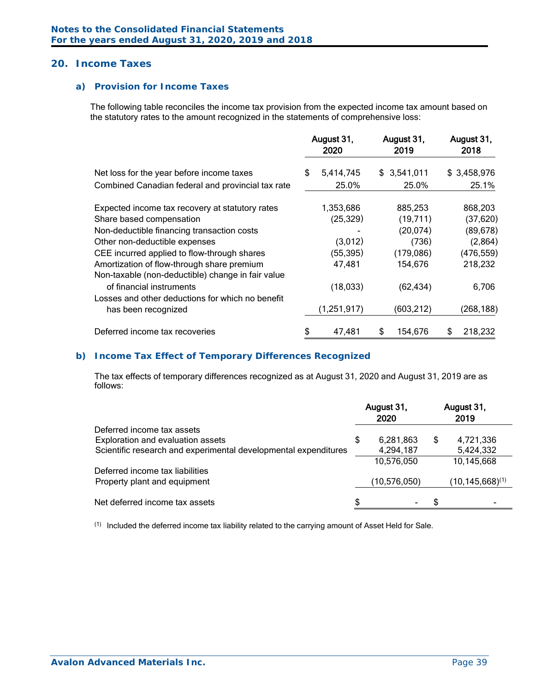## **20. Income Taxes**

## *a) Provision for Income Taxes*

The following table reconciles the income tax provision from the expected income tax amount based on the statutory rates to the amount recognized in the statements of comprehensive loss:

|                                                                                                 | August 31,<br>2020 | August 31,<br>2019 | August 31,<br>2018 |
|-------------------------------------------------------------------------------------------------|--------------------|--------------------|--------------------|
| Net loss for the year before income taxes                                                       | \$<br>5,414,745    | \$3,541,011        | \$3,458,976        |
| Combined Canadian federal and provincial tax rate                                               | 25.0%              | 25.0%              | 25.1%              |
| Expected income tax recovery at statutory rates                                                 | 1,353,686          | 885,253            | 868,203            |
| Share based compensation                                                                        | (25, 329)          | (19, 711)          | (37, 620)          |
| Non-deductible financing transaction costs                                                      |                    | (20,074)           | (89, 678)          |
| Other non-deductible expenses                                                                   | (3,012)            | (736)              | (2,864)            |
| CEE incurred applied to flow-through shares                                                     | (55, 395)          | (179,086)          | (476,559)          |
| Amortization of flow-through share premium<br>Non-taxable (non-deductible) change in fair value | 47,481             | 154,676            | 218,232            |
| of financial instruments                                                                        | (18,033)           | (62, 434)          | 6,706              |
| Losses and other deductions for which no benefit<br>has been recognized                         | (1, 251, 917)      | (603, 212)         | (268,188)          |
| Deferred income tax recoveries                                                                  | \$<br>47,481       | \$<br>154,676      | \$<br>218,232      |

## *b) Income Tax Effect of Temporary Differences Recognized*

The tax effects of temporary differences recognized as at August 31, 2020 and August 31, 2019 are as follows:

|                                                                 |    | August 31,<br>2020 | August 31,<br>2019 |                        |  |
|-----------------------------------------------------------------|----|--------------------|--------------------|------------------------|--|
| Deferred income tax assets                                      |    |                    |                    |                        |  |
| Exploration and evaluation assets                               | S  | 6,281,863          |                    | 4,721,336              |  |
| Scientific research and experimental developmental expenditures |    | 4,294,187          |                    | 5,424,332              |  |
|                                                                 |    | 10,576,050         |                    | 10,145,668             |  |
| Deferred income tax liabilities                                 |    |                    |                    |                        |  |
| Property plant and equipment                                    |    | (10, 576, 050)     |                    | $(10, 145, 668)^{(1)}$ |  |
|                                                                 |    |                    |                    |                        |  |
| Net deferred income tax assets                                  | \$ | -                  |                    |                        |  |

(1) Included the deferred income tax liability related to the carrying amount of Asset Held for Sale.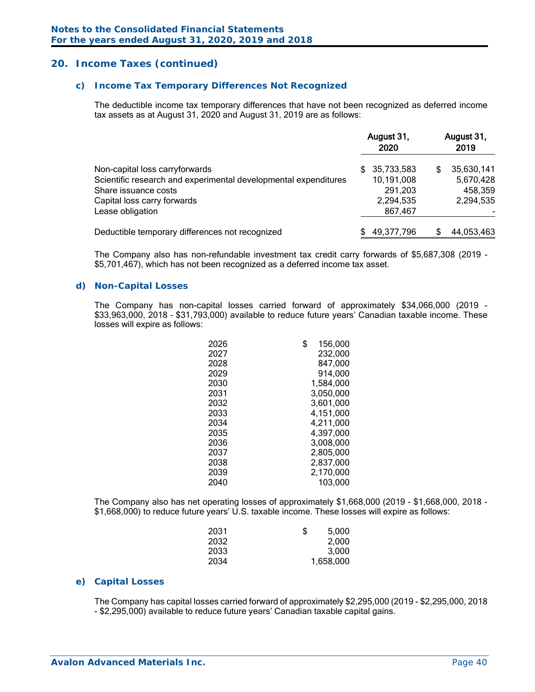## **20. Income Taxes (continued)**

### *c) Income Tax Temporary Differences Not Recognized*

The deductible income tax temporary differences that have not been recognized as deferred income tax assets as at August 31, 2020 and August 31, 2019 are as follows:

|                                                                 | August 31,<br>2020 | August 31,<br>2019 |
|-----------------------------------------------------------------|--------------------|--------------------|
| Non-capital loss carryforwards                                  | 35,733,583<br>SS.  | 35,630,141<br>\$   |
| Scientific research and experimental developmental expenditures | 10,191,008         | 5,670,428          |
| Share issuance costs                                            | 291,203            | 458,359            |
| Capital loss carry forwards                                     | 2,294,535          | 2,294,535          |
| Lease obligation                                                | 867,467            |                    |
| Deductible temporary differences not recognized                 | 49,377,796         | 44,053,463<br>S    |

The Company also has non-refundable investment tax credit carry forwards of \$5,687,308 (2019 - \$5,701,467), which has not been recognized as a deferred income tax asset.

## *d) Non-Capital Losses*

The Company has non-capital losses carried forward of approximately \$34,066,000 (2019 - \$33,963,000, 2018 – \$31,793,000) available to reduce future years' Canadian taxable income. These losses will expire as follows:

| 2026 | \$<br>156.000 |  |
|------|---------------|--|
| 2027 | 232.000       |  |
| 2028 | 847.000       |  |
| 2029 | 914.000       |  |
| 2030 | 1,584,000     |  |
| 2031 | 3,050,000     |  |
| 2032 | 3.601.000     |  |
| 2033 | 4.151.000     |  |
| 2034 | 4.211.000     |  |
| 2035 | 4,397,000     |  |
| 2036 | 3.008.000     |  |
| 2037 | 2.805,000     |  |
| 2038 | 2.837.000     |  |
| 2039 | 2,170,000     |  |
| 2040 | 103.000       |  |

The Company also has net operating losses of approximately \$1,668,000 (2019 - \$1,668,000, 2018 - \$1,668,000) to reduce future years' U.S. taxable income. These losses will expire as follows:

| \$. | 5,000     |
|-----|-----------|
|     | 2,000     |
|     | 3,000     |
|     | 1,658,000 |
|     |           |

#### *e) Capital Losses*

The Company has capital losses carried forward of approximately \$2,295,000 (2019 - \$2,295,000, 2018 - \$2,295,000) available to reduce future years' Canadian taxable capital gains.